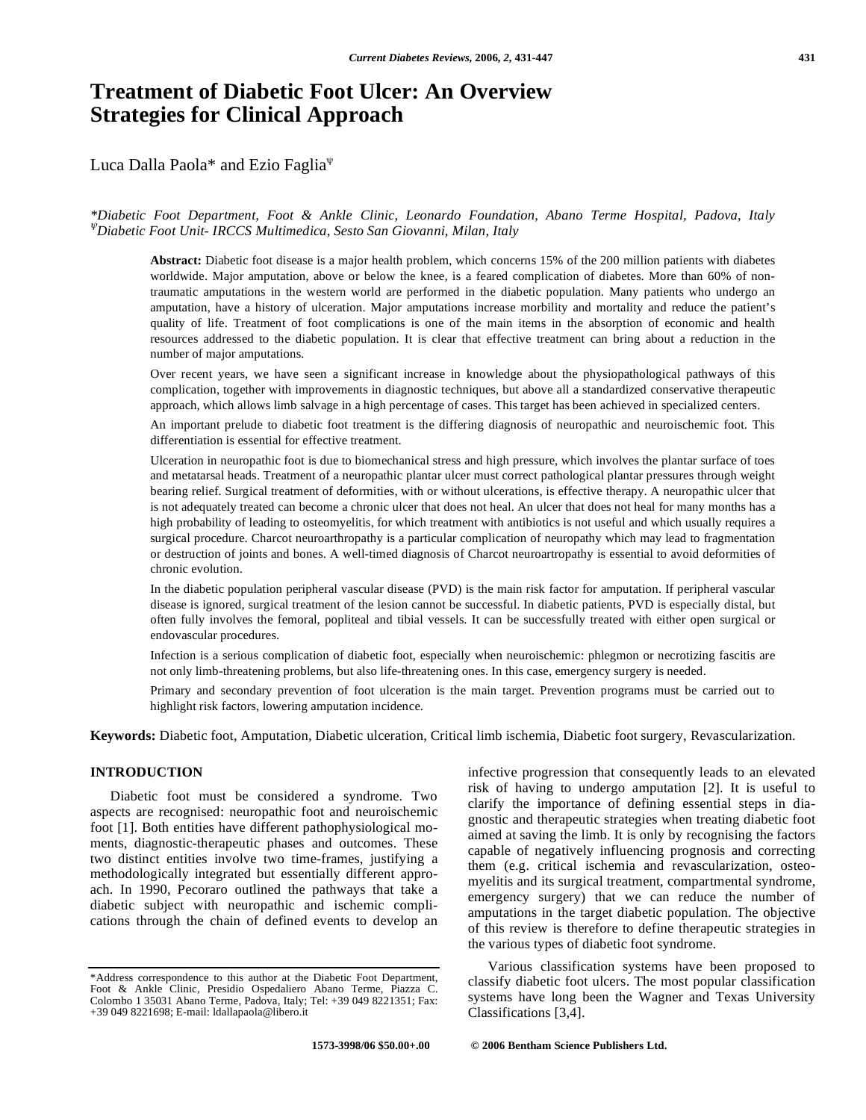# **Treatment of Diabetic Foot Ulcer: An Overview Strategies for Clinical Approach**

Luca Dalla Paola\* and Ezio Faglia $\Psi$ 

*\*Diabetic Foot Department, Foot & Ankle Clinic, Leonardo Foundation, Abano Terme Hospital, Padova, Italy Diabetic Foot Unit- IRCCS Multimedica, Sesto San Giovanni, Milan, Italy* 

**Abstract:** Diabetic foot disease is a major health problem, which concerns 15% of the 200 million patients with diabetes worldwide. Major amputation, above or below the knee, is a feared complication of diabetes. More than 60% of nontraumatic amputations in the western world are performed in the diabetic population. Many patients who undergo an amputation, have a history of ulceration. Major amputations increase morbility and mortality and reduce the patient's quality of life. Treatment of foot complications is one of the main items in the absorption of economic and health resources addressed to the diabetic population. It is clear that effective treatment can bring about a reduction in the number of major amputations.

Over recent years, we have seen a significant increase in knowledge about the physiopathological pathways of this complication, together with improvements in diagnostic techniques, but above all a standardized conservative therapeutic approach, which allows limb salvage in a high percentage of cases. This target has been achieved in specialized centers.

An important prelude to diabetic foot treatment is the differing diagnosis of neuropathic and neuroischemic foot. This differentiation is essential for effective treatment.

Ulceration in neuropathic foot is due to biomechanical stress and high pressure, which involves the plantar surface of toes and metatarsal heads. Treatment of a neuropathic plantar ulcer must correct pathological plantar pressures through weight bearing relief. Surgical treatment of deformities, with or without ulcerations, is effective therapy. A neuropathic ulcer that is not adequately treated can become a chronic ulcer that does not heal. An ulcer that does not heal for many months has a high probability of leading to osteomyelitis, for which treatment with antibiotics is not useful and which usually requires a surgical procedure. Charcot neuroarthropathy is a particular complication of neuropathy which may lead to fragmentation or destruction of joints and bones. A well-timed diagnosis of Charcot neuroartropathy is essential to avoid deformities of chronic evolution.

In the diabetic population peripheral vascular disease (PVD) is the main risk factor for amputation. If peripheral vascular disease is ignored, surgical treatment of the lesion cannot be successful. In diabetic patients, PVD is especially distal, but often fully involves the femoral, popliteal and tibial vessels. It can be successfully treated with either open surgical or endovascular procedures.

Infection is a serious complication of diabetic foot, especially when neuroischemic: phlegmon or necrotizing fascitis are not only limb-threatening problems, but also life-threatening ones. In this case, emergency surgery is needed.

Primary and secondary prevention of foot ulceration is the main target. Prevention programs must be carried out to highlight risk factors, lowering amputation incidence.

**Keywords:** Diabetic foot, Amputation, Diabetic ulceration, Critical limb ischemia, Diabetic foot surgery, Revascularization.

### **INTRODUCTION**

Diabetic foot must be considered a syndrome. Two aspects are recognised: neuropathic foot and neuroischemic foot [1]. Both entities have different pathophysiological moments, diagnostic-therapeutic phases and outcomes. These two distinct entities involve two time-frames, justifying a methodologically integrated but essentially different approach. In 1990, Pecoraro outlined the pathways that take a diabetic subject with neuropathic and ischemic complications through the chain of defined events to develop an

infective progression that consequently leads to an elevated risk of having to undergo amputation [2]. It is useful to clarify the importance of defining essential steps in diagnostic and therapeutic strategies when treating diabetic foot aimed at saving the limb. It is only by recognising the factors capable of negatively influencing prognosis and correcting them (e.g. critical ischemia and revascularization, osteomyelitis and its surgical treatment, compartmental syndrome, emergency surgery) that we can reduce the number of amputations in the target diabetic population. The objective of this review is therefore to define therapeutic strategies in the various types of diabetic foot syndrome.

Various classification systems have been proposed to classify diabetic foot ulcers. The most popular classification systems have long been the Wagner and Texas University Classifications [3,4].

 **1573-3998/06 \$50.00+.00 © 2006 Bentham Science Publishers Ltd.**

<sup>\*</sup>Address correspondence to this author at the Diabetic Foot Department, Foot & Ankle Clinic, Presidio Ospedaliero Abano Terme, Piazza C. Colombo 1 35031 Abano Terme, Padova, Italy; Tel: +39 049 8221351; Fax: +39 049 8221698; E-mail: ldallapaola@libero.it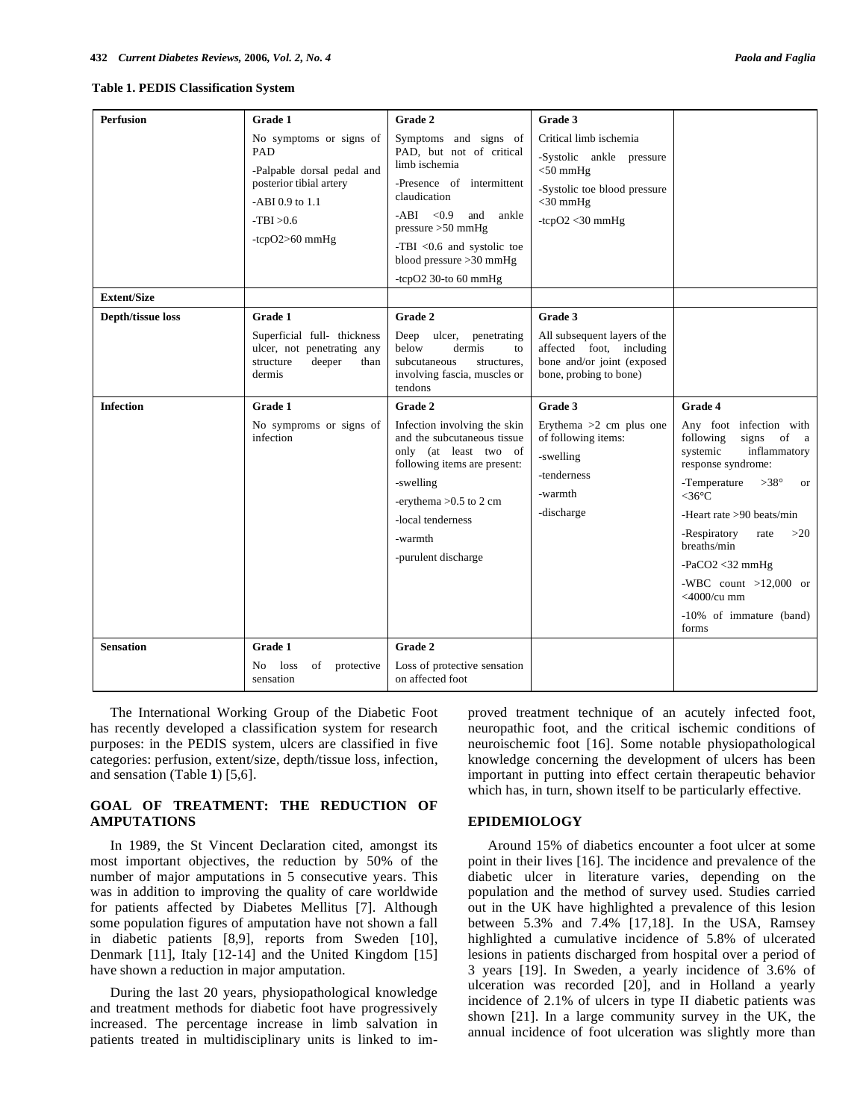#### **Table 1. PEDIS Classification System**

| <b>Perfusion</b>         | Grade 1                                                                                            | Grade 2                                                                                                                                                                                                              | Grade 3                                                                                                          |                                                                                                                                                                                                                                                                                                        |
|--------------------------|----------------------------------------------------------------------------------------------------|----------------------------------------------------------------------------------------------------------------------------------------------------------------------------------------------------------------------|------------------------------------------------------------------------------------------------------------------|--------------------------------------------------------------------------------------------------------------------------------------------------------------------------------------------------------------------------------------------------------------------------------------------------------|
|                          | No symptoms or signs of                                                                            | Symptoms and signs of                                                                                                                                                                                                | Critical limb ischemia                                                                                           |                                                                                                                                                                                                                                                                                                        |
|                          | PAD<br>-Palpable dorsal pedal and<br>posterior tibial artery                                       | PAD, but not of critical<br>limb ischemia                                                                                                                                                                            | -Systolic ankle pressure                                                                                         |                                                                                                                                                                                                                                                                                                        |
|                          |                                                                                                    | -Presence of intermittent<br>claudication                                                                                                                                                                            | $<$ 50 mmHg                                                                                                      |                                                                                                                                                                                                                                                                                                        |
|                          | -ABI 0.9 to 1.1                                                                                    |                                                                                                                                                                                                                      | -Systolic toe blood pressure<br>$<$ 30 mmHg                                                                      |                                                                                                                                                                                                                                                                                                        |
|                          | $-TBI > 0.6$                                                                                       | $-ABI \quad <0.9$<br>and<br>ankle                                                                                                                                                                                    | -tcpO2 <30 mmHg                                                                                                  |                                                                                                                                                                                                                                                                                                        |
|                          | -tcpO2>60 mmHg                                                                                     | pressure > 50 mmHg                                                                                                                                                                                                   |                                                                                                                  |                                                                                                                                                                                                                                                                                                        |
|                          |                                                                                                    | -TBI <0.6 and systolic toe<br>blood pressure $>30$ mmHg                                                                                                                                                              |                                                                                                                  |                                                                                                                                                                                                                                                                                                        |
|                          |                                                                                                    | -tcpO2 30-to 60 mmHg                                                                                                                                                                                                 |                                                                                                                  |                                                                                                                                                                                                                                                                                                        |
| <b>Extent/Size</b>       |                                                                                                    |                                                                                                                                                                                                                      |                                                                                                                  |                                                                                                                                                                                                                                                                                                        |
| <b>Depth/tissue loss</b> | Grade 1                                                                                            | Grade 2                                                                                                                                                                                                              | Grade 3                                                                                                          |                                                                                                                                                                                                                                                                                                        |
|                          | Superficial full- thickness<br>ulcer, not penetrating any<br>structure<br>deeper<br>than<br>dermis | Deep ulcer, penetrating<br>below<br>dermis<br>to<br>subcutaneous<br>structures.<br>involving fascia, muscles or<br>tendons                                                                                           | All subsequent layers of the<br>affected foot, including<br>bone and/or joint (exposed<br>bone, probing to bone) |                                                                                                                                                                                                                                                                                                        |
| <b>Infection</b>         | Grade 1                                                                                            | Grade 2                                                                                                                                                                                                              | Grade 3                                                                                                          | Grade 4                                                                                                                                                                                                                                                                                                |
|                          | No symproms or signs of<br>infection                                                               | Infection involving the skin<br>and the subcutaneous tissue<br>only (at least two of<br>following items are present:<br>-swelling<br>-erythema $>0.5$ to 2 cm<br>-local tenderness<br>-warmth<br>-purulent discharge | Erythema $>2$ cm plus one<br>of following items:<br>-swelling<br>-tenderness<br>-warmth<br>-discharge            | Any foot infection with<br>following<br>signs of a<br>systemic<br>inflammatory<br>response syndrome:<br>-Temperature<br>$>38^\circ$<br><sub>or</sub><br>$<$ 36 $\degree$ C<br>-Heart rate >90 beats/min<br>-Respiratory<br>>20<br>rate<br>breaths/min<br>-PaCO2 $<$ 32 mmHg<br>-WBC count $>12,000$ or |
|                          |                                                                                                    |                                                                                                                                                                                                                      |                                                                                                                  | $<$ 4000/cu mm                                                                                                                                                                                                                                                                                         |
|                          |                                                                                                    |                                                                                                                                                                                                                      |                                                                                                                  | -10% of immature (band)<br>forms                                                                                                                                                                                                                                                                       |
| <b>Sensation</b>         | Grade 1                                                                                            | Grade 2                                                                                                                                                                                                              |                                                                                                                  |                                                                                                                                                                                                                                                                                                        |
|                          | loss<br>No<br>of<br>protective<br>sensation                                                        | Loss of protective sensation<br>on affected foot                                                                                                                                                                     |                                                                                                                  |                                                                                                                                                                                                                                                                                                        |

The International Working Group of the Diabetic Foot has recently developed a classification system for research purposes: in the PEDIS system, ulcers are classified in five categories: perfusion, extent/size, depth/tissue loss, infection, and sensation (Table **1**) [5,6].

# **GOAL OF TREATMENT: THE REDUCTION OF AMPUTATIONS**

In 1989, the St Vincent Declaration cited, amongst its most important objectives, the reduction by 50% of the number of major amputations in 5 consecutive years. This was in addition to improving the quality of care worldwide for patients affected by Diabetes Mellitus [7]. Although some population figures of amputation have not shown a fall in diabetic patients [8,9], reports from Sweden [10], Denmark [11], Italy [12-14] and the United Kingdom [15] have shown a reduction in major amputation.

During the last 20 years, physiopathological knowledge and treatment methods for diabetic foot have progressively increased. The percentage increase in limb salvation in patients treated in multidisciplinary units is linked to improved treatment technique of an acutely infected foot, neuropathic foot, and the critical ischemic conditions of neuroischemic foot [16]. Some notable physiopathological knowledge concerning the development of ulcers has been important in putting into effect certain therapeutic behavior which has, in turn, shown itself to be particularly effective.

### **EPIDEMIOLOGY**

Around 15% of diabetics encounter a foot ulcer at some point in their lives [16]. The incidence and prevalence of the diabetic ulcer in literature varies, depending on the population and the method of survey used. Studies carried out in the UK have highlighted a prevalence of this lesion between 5.3% and 7.4% [17,18]. In the USA, Ramsey highlighted a cumulative incidence of 5.8% of ulcerated lesions in patients discharged from hospital over a period of 3 years [19]. In Sweden, a yearly incidence of 3.6% of ulceration was recorded [20], and in Holland a yearly incidence of 2.1% of ulcers in type II diabetic patients was shown [21]. In a large community survey in the UK, the annual incidence of foot ulceration was slightly more than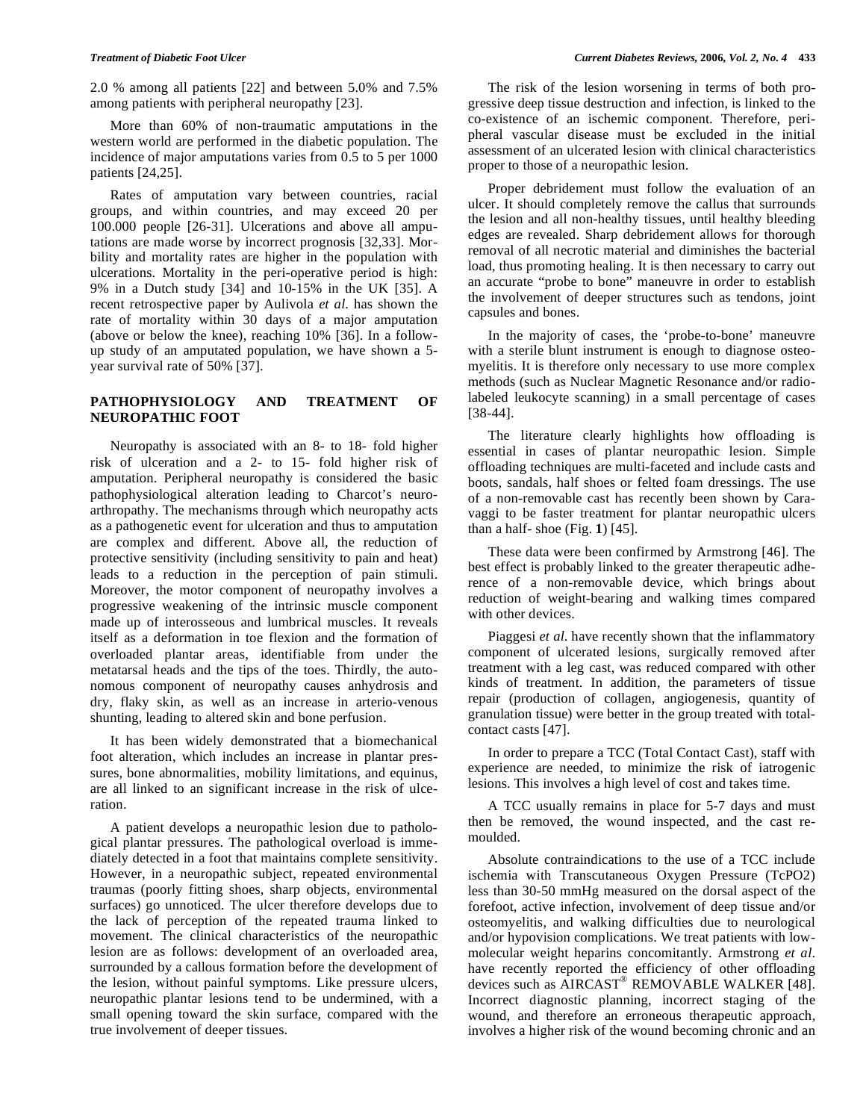2.0 % among all patients [22] and between 5.0% and 7.5% among patients with peripheral neuropathy [23].

More than 60% of non-traumatic amputations in the western world are performed in the diabetic population. The incidence of major amputations varies from 0.5 to 5 per 1000 patients [24,25].

Rates of amputation vary between countries, racial groups, and within countries, and may exceed 20 per 100.000 people [26-31]. Ulcerations and above all amputations are made worse by incorrect prognosis [32,33]. Morbility and mortality rates are higher in the population with ulcerations. Mortality in the peri-operative period is high: 9% in a Dutch study [34] and 10-15% in the UK [35]. A recent retrospective paper by Aulivola *et al*. has shown the rate of mortality within 30 days of a major amputation (above or below the knee), reaching 10% [36]. In a followup study of an amputated population, we have shown a 5 year survival rate of 50% [37].

### **PATHOPHYSIOLOGY AND TREATMENT OF NEUROPATHIC FOOT**

Neuropathy is associated with an 8- to 18- fold higher risk of ulceration and a 2- to 15- fold higher risk of amputation. Peripheral neuropathy is considered the basic pathophysiological alteration leading to Charcot's neuroarthropathy. The mechanisms through which neuropathy acts as a pathogenetic event for ulceration and thus to amputation are complex and different. Above all, the reduction of protective sensitivity (including sensitivity to pain and heat) leads to a reduction in the perception of pain stimuli. Moreover, the motor component of neuropathy involves a progressive weakening of the intrinsic muscle component made up of interosseous and lumbrical muscles. It reveals itself as a deformation in toe flexion and the formation of overloaded plantar areas, identifiable from under the metatarsal heads and the tips of the toes. Thirdly, the autonomous component of neuropathy causes anhydrosis and dry, flaky skin, as well as an increase in arterio-venous shunting, leading to altered skin and bone perfusion.

It has been widely demonstrated that a biomechanical foot alteration, which includes an increase in plantar pressures, bone abnormalities, mobility limitations, and equinus, are all linked to an significant increase in the risk of ulceration.

A patient develops a neuropathic lesion due to pathological plantar pressures. The pathological overload is immediately detected in a foot that maintains complete sensitivity. However, in a neuropathic subject, repeated environmental traumas (poorly fitting shoes, sharp objects, environmental surfaces) go unnoticed. The ulcer therefore develops due to the lack of perception of the repeated trauma linked to movement. The clinical characteristics of the neuropathic lesion are as follows: development of an overloaded area, surrounded by a callous formation before the development of the lesion, without painful symptoms. Like pressure ulcers, neuropathic plantar lesions tend to be undermined, with a small opening toward the skin surface, compared with the true involvement of deeper tissues.

The risk of the lesion worsening in terms of both progressive deep tissue destruction and infection, is linked to the co-existence of an ischemic component. Therefore, peripheral vascular disease must be excluded in the initial assessment of an ulcerated lesion with clinical characteristics proper to those of a neuropathic lesion.

Proper debridement must follow the evaluation of an ulcer. It should completely remove the callus that surrounds the lesion and all non-healthy tissues, until healthy bleeding edges are revealed. Sharp debridement allows for thorough removal of all necrotic material and diminishes the bacterial load, thus promoting healing. It is then necessary to carry out an accurate "probe to bone" maneuvre in order to establish the involvement of deeper structures such as tendons, joint capsules and bones.

In the majority of cases, the 'probe-to-bone' maneuvre with a sterile blunt instrument is enough to diagnose osteomyelitis. It is therefore only necessary to use more complex methods (such as Nuclear Magnetic Resonance and/or radiolabeled leukocyte scanning) in a small percentage of cases [38-44].

The literature clearly highlights how offloading is essential in cases of plantar neuropathic lesion. Simple offloading techniques are multi-faceted and include casts and boots, sandals, half shoes or felted foam dressings. The use of a non-removable cast has recently been shown by Caravaggi to be faster treatment for plantar neuropathic ulcers than a half- shoe (Fig. **1**) [45].

These data were been confirmed by Armstrong [46]. The best effect is probably linked to the greater therapeutic adherence of a non-removable device, which brings about reduction of weight-bearing and walking times compared with other devices.

Piaggesi *et al*. have recently shown that the inflammatory component of ulcerated lesions, surgically removed after treatment with a leg cast, was reduced compared with other kinds of treatment. In addition, the parameters of tissue repair (production of collagen, angiogenesis, quantity of granulation tissue) were better in the group treated with totalcontact casts [47].

In order to prepare a TCC (Total Contact Cast), staff with experience are needed, to minimize the risk of iatrogenic lesions. This involves a high level of cost and takes time.

A TCC usually remains in place for 5-7 days and must then be removed, the wound inspected, and the cast remoulded.

Absolute contraindications to the use of a TCC include ischemia with Transcutaneous Oxygen Pressure (TcPO2) less than 30-50 mmHg measured on the dorsal aspect of the forefoot, active infection, involvement of deep tissue and/or osteomyelitis, and walking difficulties due to neurological and/or hypovision complications. We treat patients with lowmolecular weight heparins concomitantly. Armstrong *et al*. have recently reported the efficiency of other offloading devices such as AIRCAST® REMOVABLE WALKER [48]. Incorrect diagnostic planning, incorrect staging of the wound, and therefore an erroneous therapeutic approach, involves a higher risk of the wound becoming chronic and an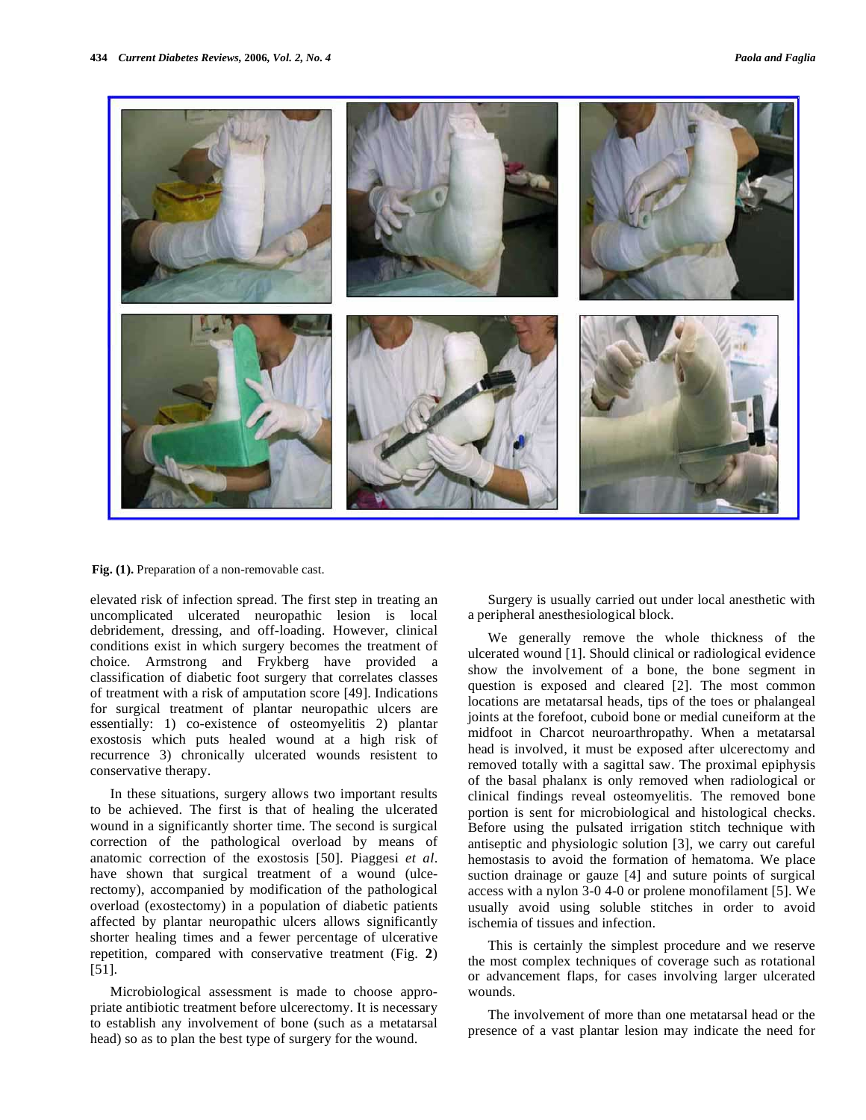

**Fig. (1).** Preparation of a non-removable cast.

elevated risk of infection spread. The first step in treating an uncomplicated ulcerated neuropathic lesion is local debridement, dressing, and off-loading. However, clinical conditions exist in which surgery becomes the treatment of choice. Armstrong and Frykberg have provided a classification of diabetic foot surgery that correlates classes of treatment with a risk of amputation score [49]. Indications for surgical treatment of plantar neuropathic ulcers are essentially: 1) co-existence of osteomyelitis 2) plantar exostosis which puts healed wound at a high risk of recurrence 3) chronically ulcerated wounds resistent to conservative therapy.

In these situations, surgery allows two important results to be achieved. The first is that of healing the ulcerated wound in a significantly shorter time. The second is surgical correction of the pathological overload by means of anatomic correction of the exostosis [50]. Piaggesi *et al*. have shown that surgical treatment of a wound (ulcerectomy), accompanied by modification of the pathological overload (exostectomy) in a population of diabetic patients affected by plantar neuropathic ulcers allows significantly shorter healing times and a fewer percentage of ulcerative repetition, compared with conservative treatment (Fig. **2**) [51].

Microbiological assessment is made to choose appropriate antibiotic treatment before ulcerectomy. It is necessary to establish any involvement of bone (such as a metatarsal head) so as to plan the best type of surgery for the wound.

Surgery is usually carried out under local anesthetic with a peripheral anesthesiological block.

We generally remove the whole thickness of the ulcerated wound [1]. Should clinical or radiological evidence show the involvement of a bone, the bone segment in question is exposed and cleared [2]. The most common locations are metatarsal heads, tips of the toes or phalangeal joints at the forefoot, cuboid bone or medial cuneiform at the midfoot in Charcot neuroarthropathy. When a metatarsal head is involved, it must be exposed after ulcerectomy and removed totally with a sagittal saw. The proximal epiphysis of the basal phalanx is only removed when radiological or clinical findings reveal osteomyelitis. The removed bone portion is sent for microbiological and histological checks. Before using the pulsated irrigation stitch technique with antiseptic and physiologic solution [3], we carry out careful hemostasis to avoid the formation of hematoma. We place suction drainage or gauze [4] and suture points of surgical access with a nylon 3-0 4-0 or prolene monofilament [5]. We usually avoid using soluble stitches in order to avoid ischemia of tissues and infection.

This is certainly the simplest procedure and we reserve the most complex techniques of coverage such as rotational or advancement flaps, for cases involving larger ulcerated wounds.

The involvement of more than one metatarsal head or the presence of a vast plantar lesion may indicate the need for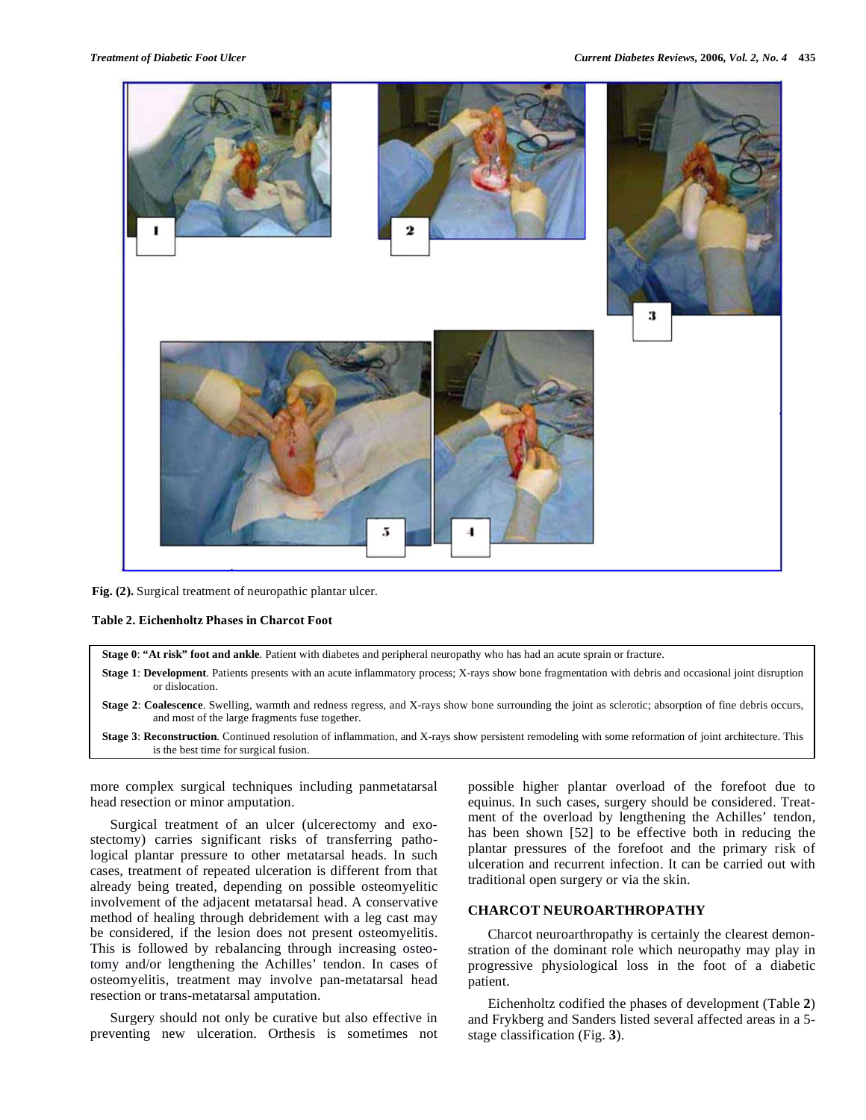

**Fig. (2).** Surgical treatment of neuropathic plantar ulcer.

### **Table 2. Eichenholtz Phases in Charcot Foot**

**Stage 0**: **"At risk" foot and ankle**. Patient with diabetes and peripheral neuropathy who has had an acute sprain or fracture.

- **Stage 1**: **Development**. Patients presents with an acute inflammatory process; X-rays show bone fragmentation with debris and occasional joint disruption or dislocation.
- **Stage 2**: **Coalescence**. Swelling, warmth and redness regress, and X-rays show bone surrounding the joint as sclerotic; absorption of fine debris occurs, and most of the large fragments fuse together.
- **Stage 3**: **Reconstruction**. Continued resolution of inflammation, and X-rays show persistent remodeling with some reformation of joint architecture. This is the best time for surgical fusion.

more complex surgical techniques including panmetatarsal head resection or minor amputation.

Surgical treatment of an ulcer (ulcerectomy and exostectomy) carries significant risks of transferring pathological plantar pressure to other metatarsal heads. In such cases, treatment of repeated ulceration is different from that already being treated, depending on possible osteomyelitic involvement of the adjacent metatarsal head. A conservative method of healing through debridement with a leg cast may be considered, if the lesion does not present osteomyelitis. This is followed by rebalancing through increasing osteotomy and/or lengthening the Achilles' tendon. In cases of osteomyelitis, treatment may involve pan-metatarsal head resection or trans-metatarsal amputation.

Surgery should not only be curative but also effective in preventing new ulceration. Orthesis is sometimes not

possible higher plantar overload of the forefoot due to equinus. In such cases, surgery should be considered. Treatment of the overload by lengthening the Achilles' tendon, has been shown [52] to be effective both in reducing the plantar pressures of the forefoot and the primary risk of ulceration and recurrent infection. It can be carried out with traditional open surgery or via the skin.

### **CHARCOT NEUROARTHROPATHY**

Charcot neuroarthropathy is certainly the clearest demonstration of the dominant role which neuropathy may play in progressive physiological loss in the foot of a diabetic patient.

Eichenholtz codified the phases of development (Table **2**) and Frykberg and Sanders listed several affected areas in a 5 stage classification (Fig. **3**).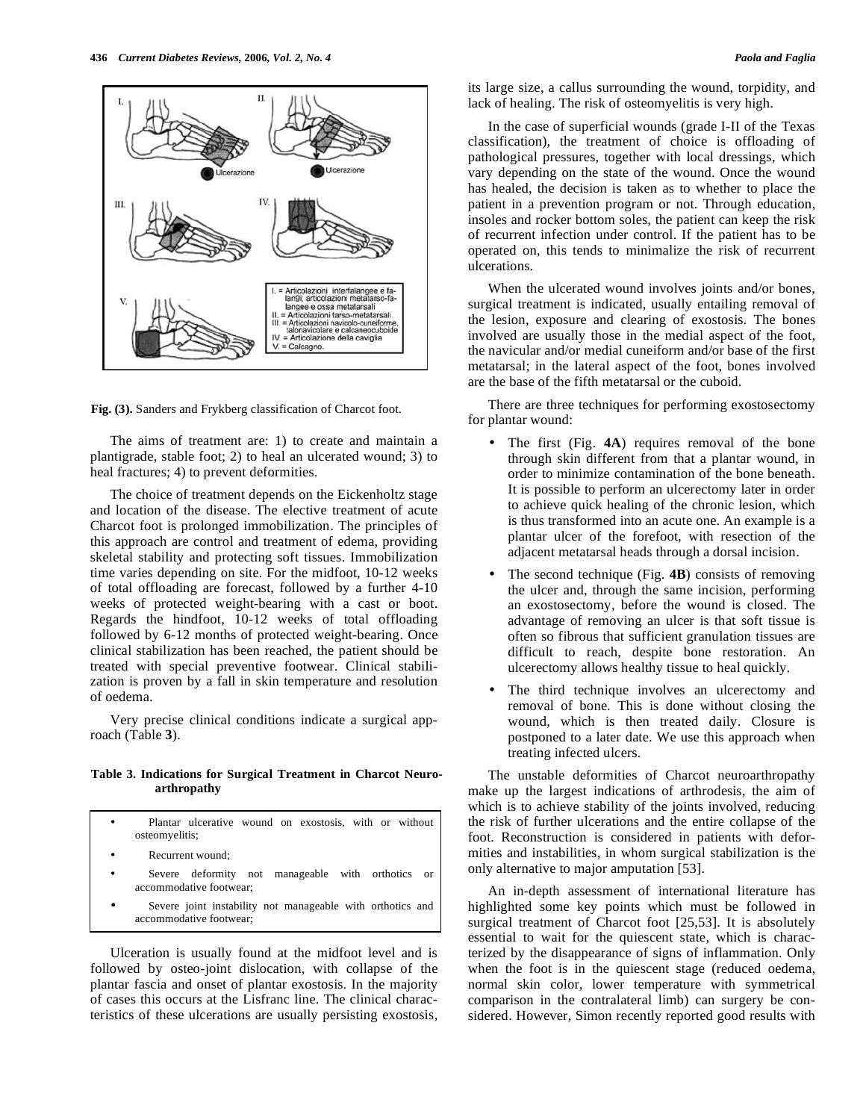

**Fig. (3).** Sanders and Frykberg classification of Charcot foot.

The aims of treatment are: 1) to create and maintain a plantigrade, stable foot; 2) to heal an ulcerated wound; 3) to heal fractures; 4) to prevent deformities.

The choice of treatment depends on the Eickenholtz stage and location of the disease. The elective treatment of acute Charcot foot is prolonged immobilization. The principles of this approach are control and treatment of edema, providing skeletal stability and protecting soft tissues. Immobilization time varies depending on site. For the midfoot, 10-12 weeks of total offloading are forecast, followed by a further 4-10 weeks of protected weight-bearing with a cast or boot. Regards the hindfoot, 10-12 weeks of total offloading followed by 6-12 months of protected weight-bearing. Once clinical stabilization has been reached, the patient should be treated with special preventive footwear. Clinical stabilization is proven by a fall in skin temperature and resolution of oedema.

Very precise clinical conditions indicate a surgical approach (Table **3**).

### **Table 3. Indications for Surgical Treatment in Charcot Neuroarthropathy**

- Plantar ulcerative wound on exostosis, with or without osteomyelitis;
- Recurrent wound;
- Severe deformity not manageable with orthotics or accommodative footwear;
- Severe joint instability not manageable with orthotics and accommodative footwear;

Ulceration is usually found at the midfoot level and is followed by osteo-joint dislocation, with collapse of the plantar fascia and onset of plantar exostosis. In the majority of cases this occurs at the Lisfranc line. The clinical characteristics of these ulcerations are usually persisting exostosis, its large size, a callus surrounding the wound, torpidity, and lack of healing. The risk of osteomyelitis is very high.

In the case of superficial wounds (grade I-II of the Texas classification), the treatment of choice is offloading of pathological pressures, together with local dressings, which vary depending on the state of the wound. Once the wound has healed, the decision is taken as to whether to place the patient in a prevention program or not. Through education, insoles and rocker bottom soles, the patient can keep the risk of recurrent infection under control. If the patient has to be operated on, this tends to minimalize the risk of recurrent ulcerations.

When the ulcerated wound involves joints and/or bones, surgical treatment is indicated, usually entailing removal of the lesion, exposure and clearing of exostosis. The bones involved are usually those in the medial aspect of the foot, the navicular and/or medial cuneiform and/or base of the first metatarsal; in the lateral aspect of the foot, bones involved are the base of the fifth metatarsal or the cuboid.

There are three techniques for performing exostosectomy for plantar wound:

- The first (Fig. **4A**) requires removal of the bone through skin different from that a plantar wound, in order to minimize contamination of the bone beneath. It is possible to perform an ulcerectomy later in order to achieve quick healing of the chronic lesion, which is thus transformed into an acute one. An example is a plantar ulcer of the forefoot, with resection of the adjacent metatarsal heads through a dorsal incision.
- The second technique (Fig. 4B) consists of removing the ulcer and, through the same incision, performing an exostosectomy, before the wound is closed. The advantage of removing an ulcer is that soft tissue is often so fibrous that sufficient granulation tissues are difficult to reach, despite bone restoration. An ulcerectomy allows healthy tissue to heal quickly.
- The third technique involves an ulcerectomy and removal of bone. This is done without closing the wound, which is then treated daily. Closure is postponed to a later date. We use this approach when treating infected ulcers.

The unstable deformities of Charcot neuroarthropathy make up the largest indications of arthrodesis, the aim of which is to achieve stability of the joints involved, reducing the risk of further ulcerations and the entire collapse of the foot. Reconstruction is considered in patients with deformities and instabilities, in whom surgical stabilization is the only alternative to major amputation [53].

An in-depth assessment of international literature has highlighted some key points which must be followed in surgical treatment of Charcot foot [25,53]. It is absolutely essential to wait for the quiescent state, which is characterized by the disappearance of signs of inflammation. Only when the foot is in the quiescent stage (reduced oedema, normal skin color, lower temperature with symmetrical comparison in the contralateral limb) can surgery be considered. However, Simon recently reported good results with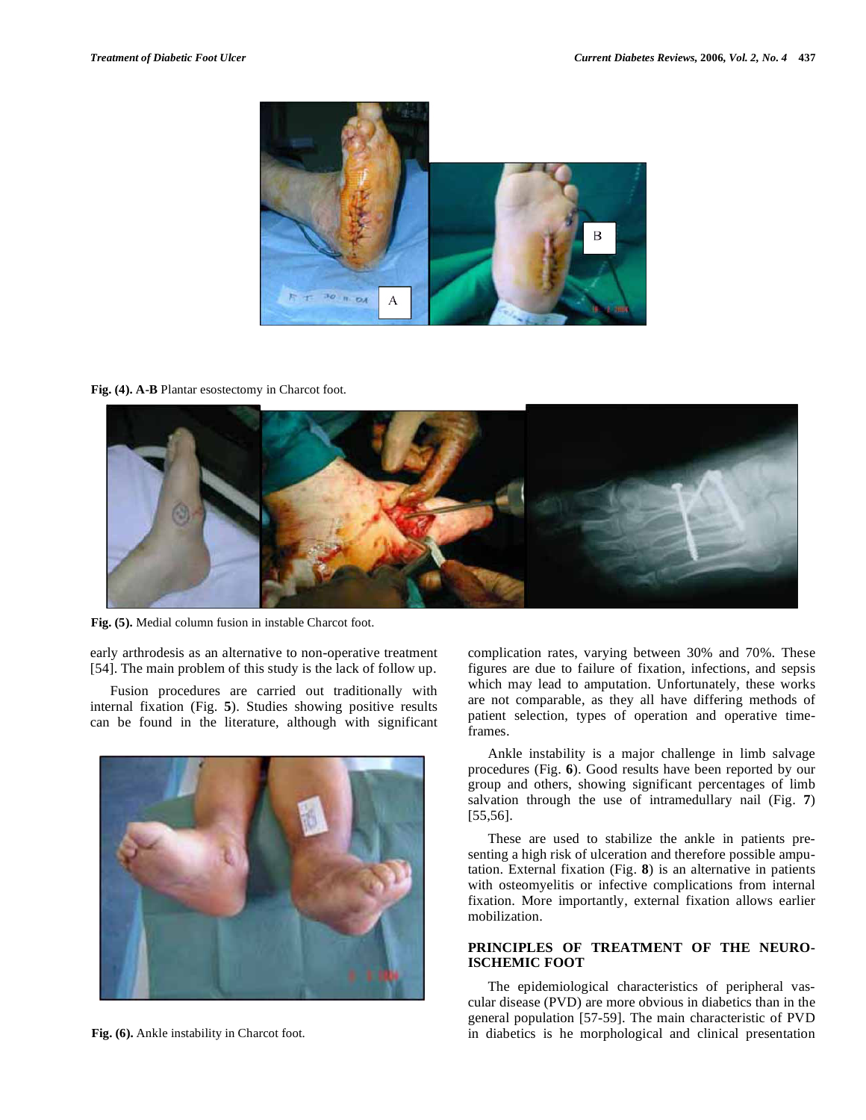

**Fig. (4). A-B** Plantar esostectomy in Charcot foot.



**Fig. (5).** Medial column fusion in instable Charcot foot.

early arthrodesis as an alternative to non-operative treatment [54]. The main problem of this study is the lack of follow up.

Fusion procedures are carried out traditionally with internal fixation (Fig. **5**). Studies showing positive results can be found in the literature, although with significant



complication rates, varying between 30% and 70%. These figures are due to failure of fixation, infections, and sepsis which may lead to amputation. Unfortunately, these works are not comparable, as they all have differing methods of patient selection, types of operation and operative timeframes.

Ankle instability is a major challenge in limb salvage procedures (Fig. **6**). Good results have been reported by our group and others, showing significant percentages of limb salvation through the use of intramedullary nail (Fig. **7**) [55,56].

These are used to stabilize the ankle in patients presenting a high risk of ulceration and therefore possible amputation. External fixation (Fig. **8**) is an alternative in patients with osteomyelitis or infective complications from internal fixation. More importantly, external fixation allows earlier mobilization.

# **PRINCIPLES OF TREATMENT OF THE NEURO-ISCHEMIC FOOT**

The epidemiological characteristics of peripheral vascular disease (PVD) are more obvious in diabetics than in the general population [57-59]. The main characteristic of PVD **Fig. (6).** Ankle instability in Charcot foot. in diabetics is he morphological and clinical presentation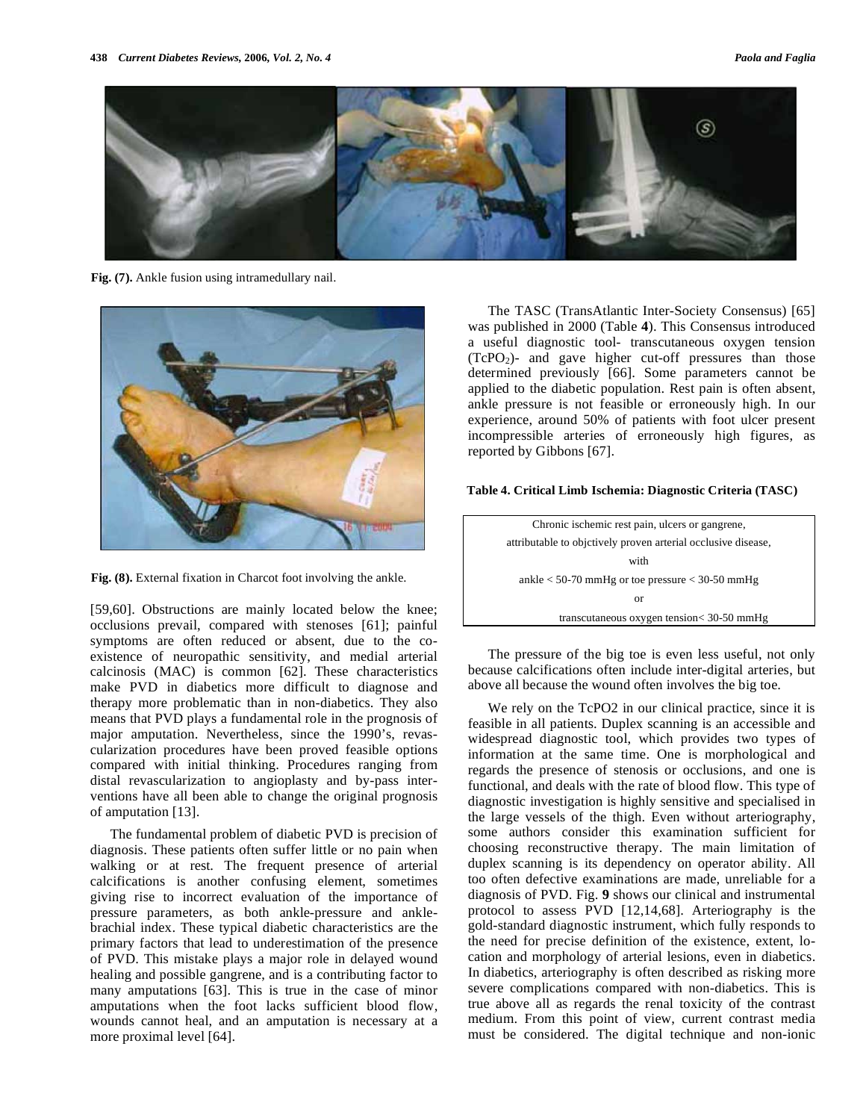

**Fig. (7).** Ankle fusion using intramedullary nail.



**Fig. (8).** External fixation in Charcot foot involving the ankle.

[59,60]. Obstructions are mainly located below the knee; occlusions prevail, compared with stenoses [61]; painful symptoms are often reduced or absent, due to the coexistence of neuropathic sensitivity, and medial arterial calcinosis (MAC) is common [62]. These characteristics make PVD in diabetics more difficult to diagnose and therapy more problematic than in non-diabetics. They also means that PVD plays a fundamental role in the prognosis of major amputation. Nevertheless, since the 1990's, revascularization procedures have been proved feasible options compared with initial thinking. Procedures ranging from distal revascularization to angioplasty and by-pass interventions have all been able to change the original prognosis of amputation [13].

The fundamental problem of diabetic PVD is precision of diagnosis. These patients often suffer little or no pain when walking or at rest. The frequent presence of arterial calcifications is another confusing element, sometimes giving rise to incorrect evaluation of the importance of pressure parameters, as both ankle-pressure and anklebrachial index. These typical diabetic characteristics are the primary factors that lead to underestimation of the presence of PVD. This mistake plays a major role in delayed wound healing and possible gangrene, and is a contributing factor to many amputations [63]. This is true in the case of minor amputations when the foot lacks sufficient blood flow, wounds cannot heal, and an amputation is necessary at a more proximal level [64].

The TASC (TransAtlantic Inter-Society Consensus) [65] was published in 2000 (Table **4**). This Consensus introduced a useful diagnostic tool- transcutaneous oxygen tension  $(TcPO<sub>2</sub>)$ - and gave higher cut-off pressures than those determined previously [66]. Some parameters cannot be applied to the diabetic population. Rest pain is often absent, ankle pressure is not feasible or erroneously high. In our experience, around 50% of patients with foot ulcer present incompressible arteries of erroneously high figures, as reported by Gibbons [67].

### **Table 4. Critical Limb Ischemia: Diagnostic Criteria (TASC)**

Chronic ischemic rest pain, ulcers or gangrene, attributable to objctively proven arterial occlusive disease, with ankle < 50-70 mmHg or toe pressure < 30-50 mmHg or transcutaneous oxygen tension< 30-50 mmHg

The pressure of the big toe is even less useful, not only because calcifications often include inter-digital arteries, but above all because the wound often involves the big toe.

We rely on the TcPO2 in our clinical practice, since it is feasible in all patients. Duplex scanning is an accessible and widespread diagnostic tool, which provides two types of information at the same time. One is morphological and regards the presence of stenosis or occlusions, and one is functional, and deals with the rate of blood flow. This type of diagnostic investigation is highly sensitive and specialised in the large vessels of the thigh. Even without arteriography, some authors consider this examination sufficient for choosing reconstructive therapy. The main limitation of duplex scanning is its dependency on operator ability. All too often defective examinations are made, unreliable for a diagnosis of PVD. Fig. **9** shows our clinical and instrumental protocol to assess PVD [12,14,68]. Arteriography is the gold-standard diagnostic instrument, which fully responds to the need for precise definition of the existence, extent, location and morphology of arterial lesions, even in diabetics. In diabetics, arteriography is often described as risking more severe complications compared with non-diabetics. This is true above all as regards the renal toxicity of the contrast medium. From this point of view, current contrast media must be considered. The digital technique and non-ionic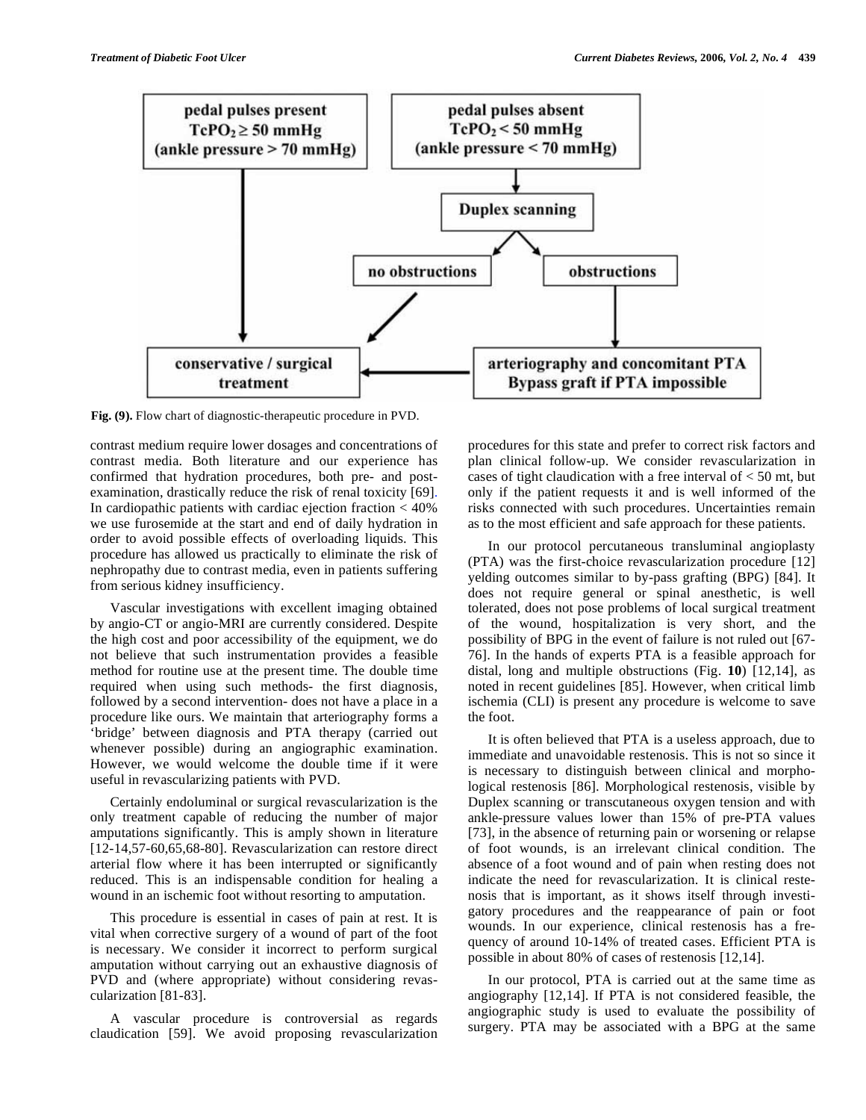

**Fig. (9).** Flow chart of diagnostic-therapeutic procedure in PVD.

contrast medium require lower dosages and concentrations of contrast media. Both literature and our experience has confirmed that hydration procedures, both pre- and postexamination, drastically reduce the risk of renal toxicity [69]. In cardiopathic patients with cardiac ejection fraction  $<$  40% we use furosemide at the start and end of daily hydration in order to avoid possible effects of overloading liquids. This procedure has allowed us practically to eliminate the risk of nephropathy due to contrast media, even in patients suffering from serious kidney insufficiency.

Vascular investigations with excellent imaging obtained by angio-CT or angio-MRI are currently considered. Despite the high cost and poor accessibility of the equipment, we do not believe that such instrumentation provides a feasible method for routine use at the present time. The double time required when using such methods- the first diagnosis, followed by a second intervention- does not have a place in a procedure like ours. We maintain that arteriography forms a 'bridge' between diagnosis and PTA therapy (carried out whenever possible) during an angiographic examination. However, we would welcome the double time if it were useful in revascularizing patients with PVD.

Certainly endoluminal or surgical revascularization is the only treatment capable of reducing the number of major amputations significantly. This is amply shown in literature [12-14,57-60,65,68-80]. Revascularization can restore direct arterial flow where it has been interrupted or significantly reduced. This is an indispensable condition for healing a wound in an ischemic foot without resorting to amputation.

This procedure is essential in cases of pain at rest. It is vital when corrective surgery of a wound of part of the foot is necessary. We consider it incorrect to perform surgical amputation without carrying out an exhaustive diagnosis of PVD and (where appropriate) without considering revascularization [81-83].

A vascular procedure is controversial as regards claudication [59]. We avoid proposing revascularization procedures for this state and prefer to correct risk factors and plan clinical follow-up. We consider revascularization in cases of tight claudication with a free interval of < 50 mt, but only if the patient requests it and is well informed of the risks connected with such procedures. Uncertainties remain as to the most efficient and safe approach for these patients.

In our protocol percutaneous transluminal angioplasty (PTA) was the first-choice revascularization procedure [12] yelding outcomes similar to by-pass grafting (BPG) [84]. It does not require general or spinal anesthetic, is well tolerated, does not pose problems of local surgical treatment of the wound, hospitalization is very short, and the possibility of BPG in the event of failure is not ruled out [67- 76]. In the hands of experts PTA is a feasible approach for distal, long and multiple obstructions (Fig. **10**) [12,14], as noted in recent guidelines [85]. However, when critical limb ischemia (CLI) is present any procedure is welcome to save the foot.

It is often believed that PTA is a useless approach, due to immediate and unavoidable restenosis. This is not so since it is necessary to distinguish between clinical and morphological restenosis [86]. Morphological restenosis, visible by Duplex scanning or transcutaneous oxygen tension and with ankle-pressure values lower than 15% of pre-PTA values [73], in the absence of returning pain or worsening or relapse of foot wounds, is an irrelevant clinical condition. The absence of a foot wound and of pain when resting does not indicate the need for revascularization. It is clinical restenosis that is important, as it shows itself through investigatory procedures and the reappearance of pain or foot wounds. In our experience, clinical restenosis has a frequency of around 10-14% of treated cases. Efficient PTA is possible in about 80% of cases of restenosis [12,14].

In our protocol, PTA is carried out at the same time as angiography [12,14]. If PTA is not considered feasible, the angiographic study is used to evaluate the possibility of surgery. PTA may be associated with a BPG at the same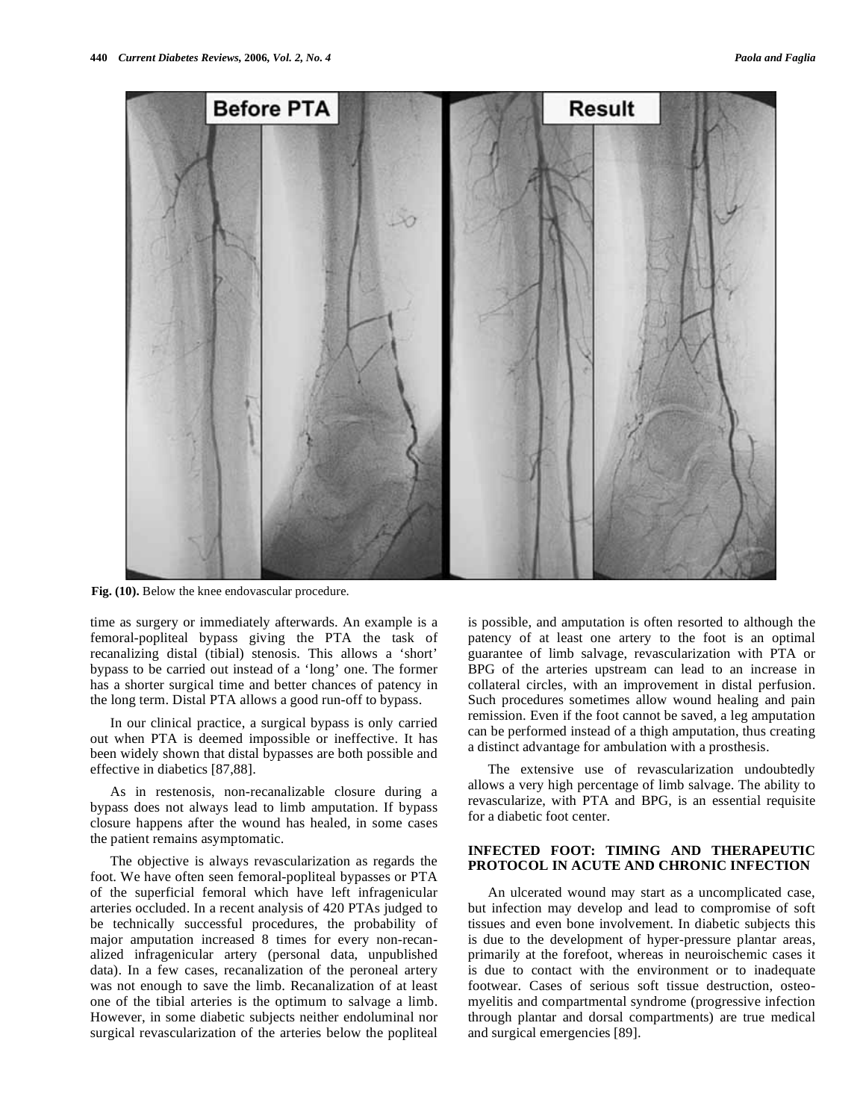

**Fig. (10).** Below the knee endovascular procedure.

time as surgery or immediately afterwards. An example is a femoral-popliteal bypass giving the PTA the task of recanalizing distal (tibial) stenosis. This allows a 'short' bypass to be carried out instead of a 'long' one. The former has a shorter surgical time and better chances of patency in the long term. Distal PTA allows a good run-off to bypass.

In our clinical practice, a surgical bypass is only carried out when PTA is deemed impossible or ineffective. It has been widely shown that distal bypasses are both possible and effective in diabetics [87,88].

As in restenosis, non-recanalizable closure during a bypass does not always lead to limb amputation. If bypass closure happens after the wound has healed, in some cases the patient remains asymptomatic.

The objective is always revascularization as regards the foot. We have often seen femoral-popliteal bypasses or PTA of the superficial femoral which have left infragenicular arteries occluded. In a recent analysis of 420 PTAs judged to be technically successful procedures, the probability of major amputation increased 8 times for every non-recanalized infragenicular artery (personal data, unpublished data). In a few cases, recanalization of the peroneal artery was not enough to save the limb. Recanalization of at least one of the tibial arteries is the optimum to salvage a limb. However, in some diabetic subjects neither endoluminal nor surgical revascularization of the arteries below the popliteal

is possible, and amputation is often resorted to although the patency of at least one artery to the foot is an optimal guarantee of limb salvage, revascularization with PTA or BPG of the arteries upstream can lead to an increase in collateral circles, with an improvement in distal perfusion. Such procedures sometimes allow wound healing and pain remission. Even if the foot cannot be saved, a leg amputation can be performed instead of a thigh amputation, thus creating a distinct advantage for ambulation with a prosthesis.

The extensive use of revascularization undoubtedly allows a very high percentage of limb salvage. The ability to revascularize, with PTA and BPG, is an essential requisite for a diabetic foot center.

# **INFECTED FOOT: TIMING AND THERAPEUTIC PROTOCOL IN ACUTE AND CHRONIC INFECTION**

An ulcerated wound may start as a uncomplicated case, but infection may develop and lead to compromise of soft tissues and even bone involvement. In diabetic subjects this is due to the development of hyper-pressure plantar areas, primarily at the forefoot, whereas in neuroischemic cases it is due to contact with the environment or to inadequate footwear. Cases of serious soft tissue destruction, osteomyelitis and compartmental syndrome (progressive infection through plantar and dorsal compartments) are true medical and surgical emergencies [89].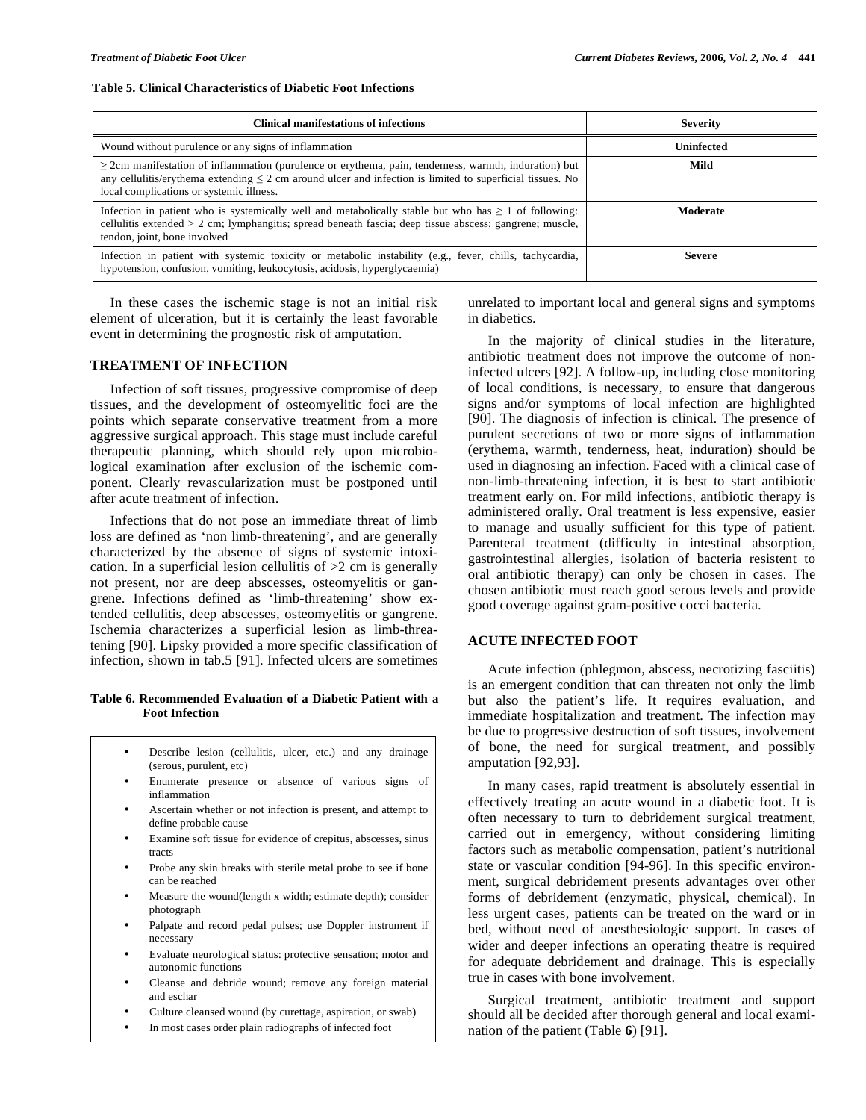#### **Table 5. Clinical Characteristics of Diabetic Foot Infections**

| <b>Clinical manifestations of infections</b>                                                                                                                                                                                                                             | <b>Severity</b>   |
|--------------------------------------------------------------------------------------------------------------------------------------------------------------------------------------------------------------------------------------------------------------------------|-------------------|
| Wound without purulence or any signs of inflammation                                                                                                                                                                                                                     | <b>Uninfected</b> |
| $\geq$ 2cm manifestation of inflammation (purulence or erythema, pain, tenderness, warmth, induration) but<br>any cellulitis/erythema extending $\leq 2$ cm around ulcer and infection is limited to superficial tissues. No<br>local complications or systemic illness. | Mild              |
| Infection in patient who is systemically well and metabolically stable but who has $\geq 1$ of following:<br>cellulitis extended $> 2$ cm; lymphangitis; spread beneath fascia; deep tissue abscess; gangrene; muscle,<br>tendon, joint, bone involved                   | Moderate          |
| Infection in patient with systemic toxicity or metabolic instability (e.g., fever, chills, tachycardia,<br>hypotension, confusion, vomiting, leukocytosis, acidosis, hyperglycaemia)                                                                                     | <b>Severe</b>     |

In these cases the ischemic stage is not an initial risk element of ulceration, but it is certainly the least favorable event in determining the prognostic risk of amputation.

# **TREATMENT OF INFECTION**

Infection of soft tissues, progressive compromise of deep tissues, and the development of osteomyelitic foci are the points which separate conservative treatment from a more aggressive surgical approach. This stage must include careful therapeutic planning, which should rely upon microbiological examination after exclusion of the ischemic component. Clearly revascularization must be postponed until after acute treatment of infection.

Infections that do not pose an immediate threat of limb loss are defined as 'non limb-threatening', and are generally characterized by the absence of signs of systemic intoxication. In a superficial lesion cellulitis of  $>2$  cm is generally not present, nor are deep abscesses, osteomyelitis or gangrene. Infections defined as 'limb-threatening' show extended cellulitis, deep abscesses, osteomyelitis or gangrene. Ischemia characterizes a superficial lesion as limb-threatening [90]. Lipsky provided a more specific classification of infection, shown in tab.5 [91]. Infected ulcers are sometimes

### **Table 6. Recommended Evaluation of a Diabetic Patient with a Foot Infection**

- Describe lesion (cellulitis, ulcer, etc.) and any drainage (serous, purulent, etc)
- Enumerate presence or absence of various signs of inflammation
- Ascertain whether or not infection is present, and attempt to define probable cause
- Examine soft tissue for evidence of crepitus, abscesses, sinus tracts
- Probe any skin breaks with sterile metal probe to see if bone can be reached
- Measure the wound(length x width; estimate depth); consider photograph
- Palpate and record pedal pulses; use Doppler instrument if necessary
- Evaluate neurological status: protective sensation; motor and autonomic functions
- Cleanse and debride wound; remove any foreign material and eschar
- Culture cleansed wound (by curettage, aspiration, or swab)
- In most cases order plain radiographs of infected foot

unrelated to important local and general signs and symptoms in diabetics.

In the majority of clinical studies in the literature, antibiotic treatment does not improve the outcome of noninfected ulcers [92]. A follow-up, including close monitoring of local conditions, is necessary, to ensure that dangerous signs and/or symptoms of local infection are highlighted [90]. The diagnosis of infection is clinical. The presence of purulent secretions of two or more signs of inflammation (erythema, warmth, tenderness, heat, induration) should be used in diagnosing an infection. Faced with a clinical case of non-limb-threatening infection, it is best to start antibiotic treatment early on. For mild infections, antibiotic therapy is administered orally. Oral treatment is less expensive, easier to manage and usually sufficient for this type of patient. Parenteral treatment (difficulty in intestinal absorption, gastrointestinal allergies, isolation of bacteria resistent to oral antibiotic therapy) can only be chosen in cases. The chosen antibiotic must reach good serous levels and provide good coverage against gram-positive cocci bacteria.

# **ACUTE INFECTED FOOT**

Acute infection (phlegmon, abscess, necrotizing fasciitis) is an emergent condition that can threaten not only the limb but also the patient's life. It requires evaluation, and immediate hospitalization and treatment. The infection may be due to progressive destruction of soft tissues, involvement of bone, the need for surgical treatment, and possibly amputation [92,93].

In many cases, rapid treatment is absolutely essential in effectively treating an acute wound in a diabetic foot. It is often necessary to turn to debridement surgical treatment, carried out in emergency, without considering limiting factors such as metabolic compensation, patient's nutritional state or vascular condition [94-96]. In this specific environment, surgical debridement presents advantages over other forms of debridement (enzymatic, physical, chemical). In less urgent cases, patients can be treated on the ward or in bed, without need of anesthesiologic support. In cases of wider and deeper infections an operating theatre is required for adequate debridement and drainage. This is especially true in cases with bone involvement.

Surgical treatment, antibiotic treatment and support should all be decided after thorough general and local examination of the patient (Table **6**) [91].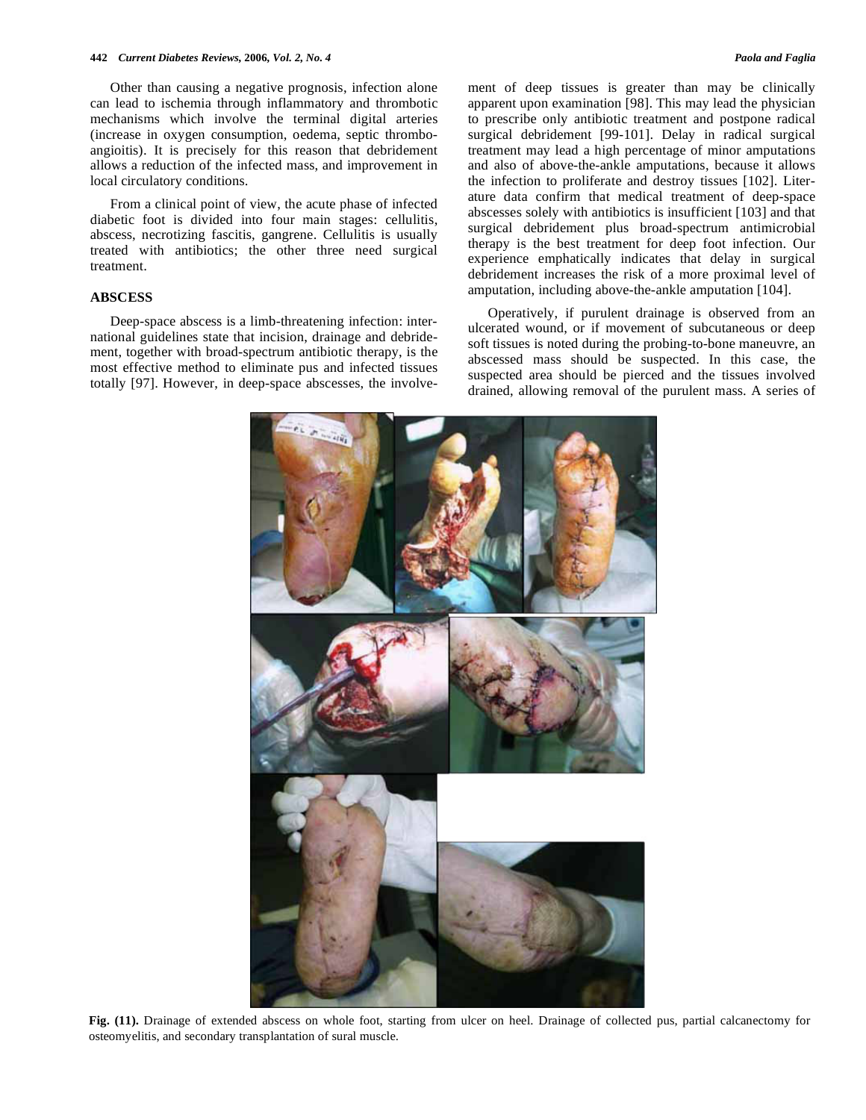Other than causing a negative prognosis, infection alone can lead to ischemia through inflammatory and thrombotic mechanisms which involve the terminal digital arteries (increase in oxygen consumption, oedema, septic thromboangioitis). It is precisely for this reason that debridement allows a reduction of the infected mass, and improvement in local circulatory conditions.

From a clinical point of view, the acute phase of infected diabetic foot is divided into four main stages: cellulitis, abscess, necrotizing fascitis, gangrene. Cellulitis is usually treated with antibiotics; the other three need surgical treatment.

### **ABSCESS**

Deep-space abscess is a limb-threatening infection: international guidelines state that incision, drainage and debridement, together with broad-spectrum antibiotic therapy, is the most effective method to eliminate pus and infected tissues totally [97]. However, in deep-space abscesses, the involvement of deep tissues is greater than may be clinically apparent upon examination [98]. This may lead the physician to prescribe only antibiotic treatment and postpone radical surgical debridement [99-101]. Delay in radical surgical treatment may lead a high percentage of minor amputations and also of above-the-ankle amputations, because it allows the infection to proliferate and destroy tissues [102]. Literature data confirm that medical treatment of deep-space abscesses solely with antibiotics is insufficient [103] and that surgical debridement plus broad-spectrum antimicrobial therapy is the best treatment for deep foot infection. Our experience emphatically indicates that delay in surgical debridement increases the risk of a more proximal level of amputation, including above-the-ankle amputation [104].

Operatively, if purulent drainage is observed from an ulcerated wound, or if movement of subcutaneous or deep soft tissues is noted during the probing-to-bone maneuvre, an abscessed mass should be suspected. In this case, the suspected area should be pierced and the tissues involved drained, allowing removal of the purulent mass. A series of



**Fig. (11).** Drainage of extended abscess on whole foot, starting from ulcer on heel. Drainage of collected pus, partial calcanectomy for osteomyelitis, and secondary transplantation of sural muscle.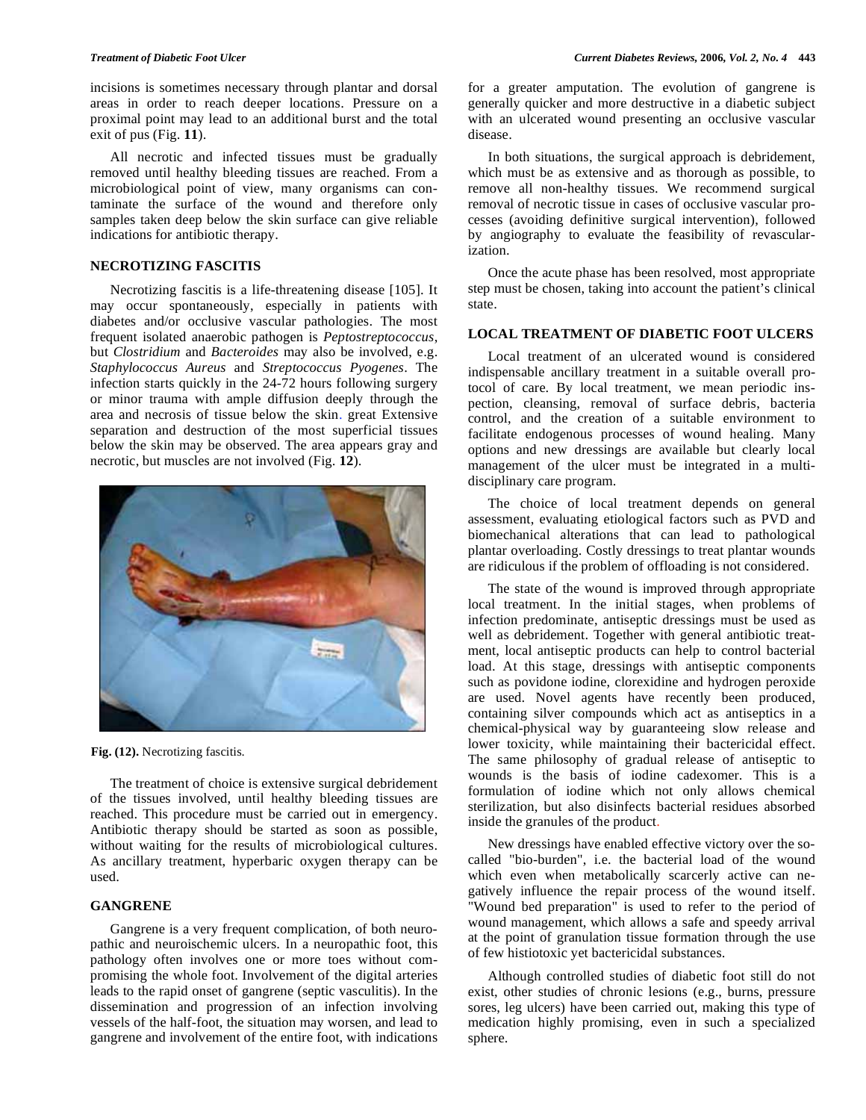incisions is sometimes necessary through plantar and dorsal areas in order to reach deeper locations. Pressure on a proximal point may lead to an additional burst and the total exit of pus (Fig. **11**).

All necrotic and infected tissues must be gradually removed until healthy bleeding tissues are reached. From a microbiological point of view, many organisms can contaminate the surface of the wound and therefore only samples taken deep below the skin surface can give reliable indications for antibiotic therapy.

# **NECROTIZING FASCITIS**

Necrotizing fascitis is a life-threatening disease [105]. It may occur spontaneously, especially in patients with diabetes and/or occlusive vascular pathologies. The most frequent isolated anaerobic pathogen is *Peptostreptococcus*, but *Clostridium* and *Bacteroides* may also be involved, e.g. *Staphylococcus Aureus* and *Streptococcus Pyogenes*. The infection starts quickly in the 24-72 hours following surgery or minor trauma with ample diffusion deeply through the area and necrosis of tissue below the skin. great Extensive separation and destruction of the most superficial tissues below the skin may be observed. The area appears gray and necrotic, but muscles are not involved (Fig. **12**).



**Fig. (12).** Necrotizing fascitis.

The treatment of choice is extensive surgical debridement of the tissues involved, until healthy bleeding tissues are reached. This procedure must be carried out in emergency. Antibiotic therapy should be started as soon as possible, without waiting for the results of microbiological cultures. As ancillary treatment, hyperbaric oxygen therapy can be used.

### **GANGRENE**

Gangrene is a very frequent complication, of both neuropathic and neuroischemic ulcers. In a neuropathic foot, this pathology often involves one or more toes without compromising the whole foot. Involvement of the digital arteries leads to the rapid onset of gangrene (septic vasculitis). In the dissemination and progression of an infection involving vessels of the half-foot, the situation may worsen, and lead to gangrene and involvement of the entire foot, with indications

for a greater amputation. The evolution of gangrene is generally quicker and more destructive in a diabetic subject with an ulcerated wound presenting an occlusive vascular disease.

In both situations, the surgical approach is debridement, which must be as extensive and as thorough as possible, to remove all non-healthy tissues. We recommend surgical removal of necrotic tissue in cases of occlusive vascular processes (avoiding definitive surgical intervention), followed by angiography to evaluate the feasibility of revascularization.

Once the acute phase has been resolved, most appropriate step must be chosen, taking into account the patient's clinical state.

### **LOCAL TREATMENT OF DIABETIC FOOT ULCERS**

Local treatment of an ulcerated wound is considered indispensable ancillary treatment in a suitable overall protocol of care. By local treatment, we mean periodic inspection, cleansing, removal of surface debris, bacteria control, and the creation of a suitable environment to facilitate endogenous processes of wound healing. Many options and new dressings are available but clearly local management of the ulcer must be integrated in a multidisciplinary care program.

The choice of local treatment depends on general assessment, evaluating etiological factors such as PVD and biomechanical alterations that can lead to pathological plantar overloading. Costly dressings to treat plantar wounds are ridiculous if the problem of offloading is not considered.

The state of the wound is improved through appropriate local treatment. In the initial stages, when problems of infection predominate, antiseptic dressings must be used as well as debridement. Together with general antibiotic treatment, local antiseptic products can help to control bacterial load. At this stage, dressings with antiseptic components such as povidone iodine, clorexidine and hydrogen peroxide are used. Novel agents have recently been produced, containing silver compounds which act as antiseptics in a chemical-physical way by guaranteeing slow release and lower toxicity, while maintaining their bactericidal effect. The same philosophy of gradual release of antiseptic to wounds is the basis of iodine cadexomer. This is a formulation of iodine which not only allows chemical sterilization, but also disinfects bacterial residues absorbed inside the granules of the product.

New dressings have enabled effective victory over the socalled "bio-burden", i.e. the bacterial load of the wound which even when metabolically scarcerly active can negatively influence the repair process of the wound itself. "Wound bed preparation" is used to refer to the period of wound management, which allows a safe and speedy arrival at the point of granulation tissue formation through the use of few histiotoxic yet bactericidal substances.

Although controlled studies of diabetic foot still do not exist, other studies of chronic lesions (e.g., burns, pressure sores, leg ulcers) have been carried out, making this type of medication highly promising, even in such a specialized sphere.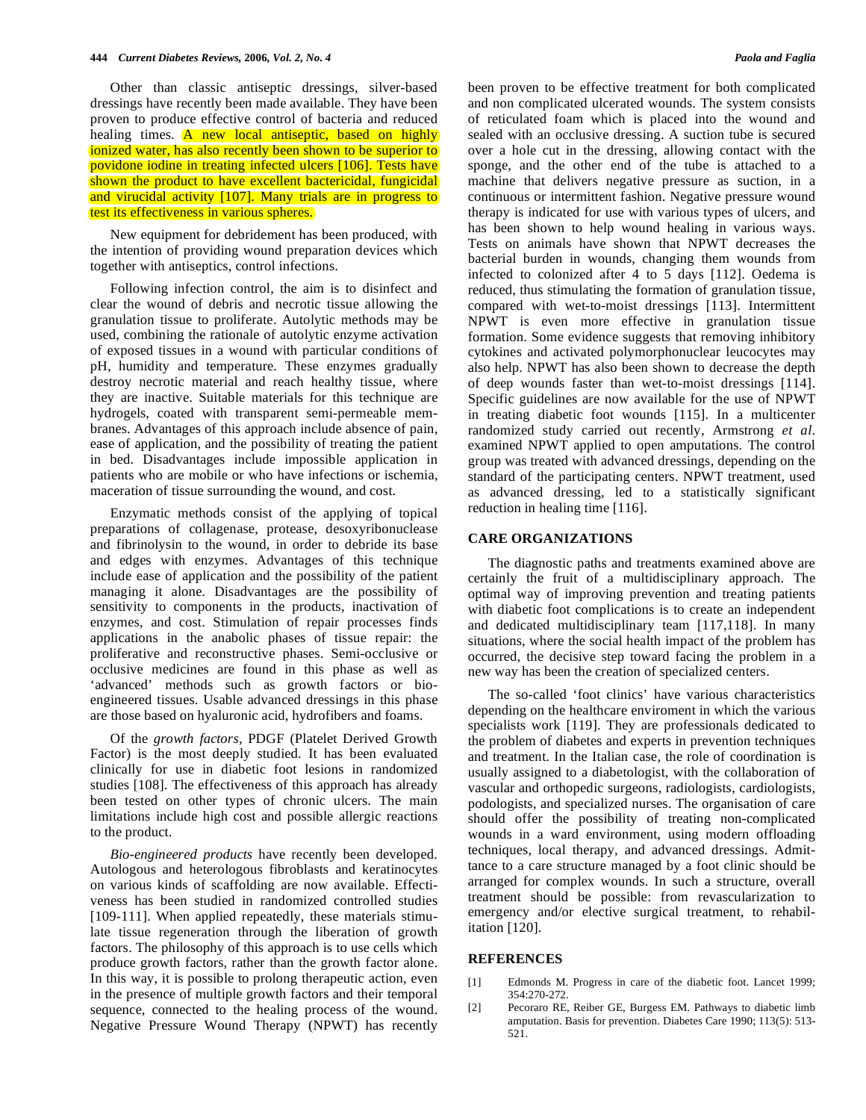Other than classic antiseptic dressings, silver-based dressings have recently been made available. They have been proven to produce effective control of bacteria and reduced healing times. A new local antiseptic, based on highly ionized water, has also recently been shown to be superior to povidone iodine in treating infected ulcers [106]. Tests have shown the product to have excellent bactericidal, fungicidal and virucidal activity [107]. Many trials are in progress to test its effectiveness in various spheres.

New equipment for debridement has been produced, with the intention of providing wound preparation devices which together with antiseptics, control infections.

Following infection control, the aim is to disinfect and clear the wound of debris and necrotic tissue allowing the granulation tissue to proliferate. Autolytic methods may be used, combining the rationale of autolytic enzyme activation of exposed tissues in a wound with particular conditions of pH, humidity and temperature. These enzymes gradually destroy necrotic material and reach healthy tissue, where they are inactive. Suitable materials for this technique are hydrogels, coated with transparent semi-permeable membranes. Advantages of this approach include absence of pain, ease of application, and the possibility of treating the patient in bed. Disadvantages include impossible application in patients who are mobile or who have infections or ischemia, maceration of tissue surrounding the wound, and cost.

Enzymatic methods consist of the applying of topical preparations of collagenase, protease, desoxyribonuclease and fibrinolysin to the wound, in order to debride its base and edges with enzymes. Advantages of this technique include ease of application and the possibility of the patient managing it alone. Disadvantages are the possibility of sensitivity to components in the products, inactivation of enzymes, and cost. Stimulation of repair processes finds applications in the anabolic phases of tissue repair: the proliferative and reconstructive phases. Semi-occlusive or occlusive medicines are found in this phase as well as 'advanced' methods such as growth factors or bioengineered tissues. Usable advanced dressings in this phase are those based on hyaluronic acid, hydrofibers and foams.

Of the *growth factors*, PDGF (Platelet Derived Growth Factor) is the most deeply studied. It has been evaluated clinically for use in diabetic foot lesions in randomized studies [108]. The effectiveness of this approach has already been tested on other types of chronic ulcers. The main limitations include high cost and possible allergic reactions to the product.

*Bio-engineered products* have recently been developed. Autologous and heterologous fibroblasts and keratinocytes on various kinds of scaffolding are now available. Effectiveness has been studied in randomized controlled studies [109-111]. When applied repeatedly, these materials stimulate tissue regeneration through the liberation of growth factors. The philosophy of this approach is to use cells which produce growth factors, rather than the growth factor alone. In this way, it is possible to prolong therapeutic action, even in the presence of multiple growth factors and their temporal sequence, connected to the healing process of the wound. Negative Pressure Wound Therapy (NPWT) has recently

been proven to be effective treatment for both complicated and non complicated ulcerated wounds. The system consists of reticulated foam which is placed into the wound and sealed with an occlusive dressing. A suction tube is secured over a hole cut in the dressing, allowing contact with the sponge, and the other end of the tube is attached to a machine that delivers negative pressure as suction, in a continuous or intermittent fashion. Negative pressure wound therapy is indicated for use with various types of ulcers, and has been shown to help wound healing in various ways. Tests on animals have shown that NPWT decreases the bacterial burden in wounds, changing them wounds from infected to colonized after 4 to 5 days [112]. Oedema is reduced, thus stimulating the formation of granulation tissue, compared with wet-to-moist dressings [113]. Intermittent NPWT is even more effective in granulation tissue formation. Some evidence suggests that removing inhibitory cytokines and activated polymorphonuclear leucocytes may also help. NPWT has also been shown to decrease the depth of deep wounds faster than wet-to-moist dressings [114]. Specific guidelines are now available for the use of NPWT in treating diabetic foot wounds [115]. In a multicenter randomized study carried out recently, Armstrong *et al*. examined NPWT applied to open amputations. The control group was treated with advanced dressings, depending on the standard of the participating centers. NPWT treatment, used as advanced dressing, led to a statistically significant reduction in healing time [116].

# **CARE ORGANIZATIONS**

The diagnostic paths and treatments examined above are certainly the fruit of a multidisciplinary approach. The optimal way of improving prevention and treating patients with diabetic foot complications is to create an independent and dedicated multidisciplinary team [117,118]. In many situations, where the social health impact of the problem has occurred, the decisive step toward facing the problem in a new way has been the creation of specialized centers.

The so-called 'foot clinics' have various characteristics depending on the healthcare enviroment in which the various specialists work [119]. They are professionals dedicated to the problem of diabetes and experts in prevention techniques and treatment. In the Italian case, the role of coordination is usually assigned to a diabetologist, with the collaboration of vascular and orthopedic surgeons, radiologists, cardiologists, podologists, and specialized nurses. The organisation of care should offer the possibility of treating non-complicated wounds in a ward environment, using modern offloading techniques, local therapy, and advanced dressings. Admittance to a care structure managed by a foot clinic should be arranged for complex wounds. In such a structure, overall treatment should be possible: from revascularization to emergency and/or elective surgical treatment, to rehabilitation [120].

### **REFERENCES**

- [1] Edmonds M. Progress in care of the diabetic foot. Lancet 1999; 354:270-272.
- [2] Pecoraro RE, Reiber GE, Burgess EM. Pathways to diabetic limb amputation. Basis for prevention. Diabetes Care 1990; 113(5): 513- 521.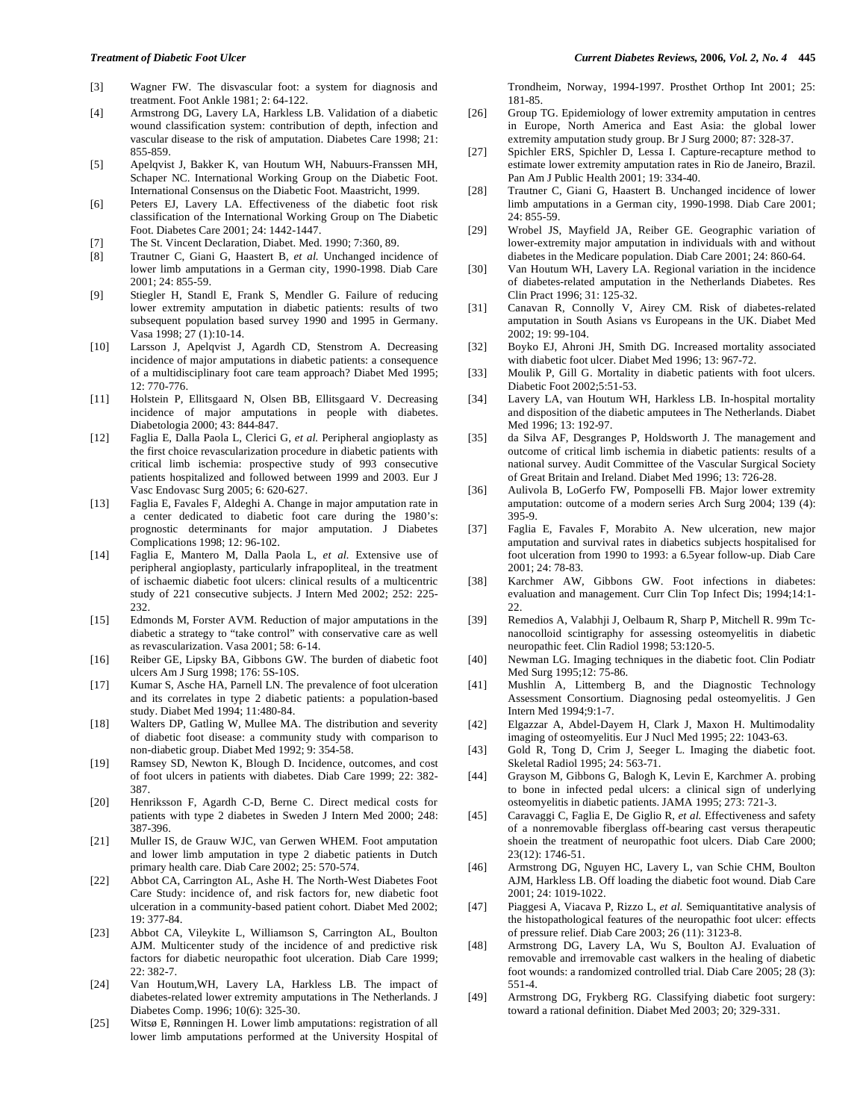- [3] Wagner FW. The disvascular foot: a system for diagnosis and treatment. Foot Ankle 1981; 2: 64-122.
- [4] Armstrong DG, Lavery LA, Harkless LB. Validation of a diabetic wound classification system: contribution of depth, infection and vascular disease to the risk of amputation. Diabetes Care 1998; 21: 855-859.
- [5] Apelqvist J, Bakker K, van Houtum WH, Nabuurs-Franssen MH, Schaper NC. International Working Group on the Diabetic Foot. International Consensus on the Diabetic Foot. Maastricht, 1999.
- [6] Peters EJ, Lavery LA. Effectiveness of the diabetic foot risk classification of the International Working Group on The Diabetic Foot. Diabetes Care 2001; 24: 1442-1447.
- [7] The St. Vincent Declaration, Diabet. Med. 1990; 7:360, 89.
- [8] Trautner C, Giani G, Haastert B, *et al.* Unchanged incidence of lower limb amputations in a German city, 1990-1998. Diab Care 2001; 24: 855-59.
- [9] Stiegler H, Standl E, Frank S, Mendler G. Failure of reducing lower extremity amputation in diabetic patients: results of two subsequent population based survey 1990 and 1995 in Germany. Vasa 1998; 27 (1):10-14.
- [10] Larsson J, Apelqvist J, Agardh CD, Stenstrom A. Decreasing incidence of major amputations in diabetic patients: a consequence of a multidisciplinary foot care team approach? Diabet Med 1995; 12: 770-776.
- [11] Holstein P, Ellitsgaard N, Olsen BB, Ellitsgaard V. Decreasing incidence of major amputations in people with diabetes. Diabetologia 2000; 43: 844-847.
- [12] Faglia E, Dalla Paola L, Clerici G, *et al.* Peripheral angioplasty as the first choice revascularization procedure in diabetic patients with critical limb ischemia: prospective study of 993 consecutive patients hospitalized and followed between 1999 and 2003. Eur J Vasc Endovasc Surg 2005; 6: 620-627.
- [13] Faglia E, Favales F, Aldeghi A. Change in major amputation rate in a center dedicated to diabetic foot care during the 1980's: prognostic determinants for major amputation. J Diabetes Complications 1998; 12: 96-102.
- [14] Faglia E, Mantero M, Dalla Paola L, *et al.* Extensive use of peripheral angioplasty, particularly infrapopliteal, in the treatment of ischaemic diabetic foot ulcers: clinical results of a multicentric study of 221 consecutive subjects. J Intern Med 2002; 252: 225- 232.
- [15] Edmonds M, Forster AVM. Reduction of major amputations in the diabetic a strategy to "take control" with conservative care as well as revascularization. Vasa 2001; 58: 6-14.
- [16] Reiber GE, Lipsky BA, Gibbons GW. The burden of diabetic foot ulcers Am J Surg 1998; 176: 5S-10S.
- [17] Kumar S, Asche HA, Parnell LN. The prevalence of foot ulceration and its correlates in type 2 diabetic patients: a population-based study. Diabet Med 1994; 11:480-84.
- [18] Walters DP, Gatling W, Mullee MA. The distribution and severity of diabetic foot disease: a community study with comparison to non-diabetic group. Diabet Med 1992; 9: 354-58.
- [19] Ramsey SD, Newton K, Blough D. Incidence, outcomes, and cost of foot ulcers in patients with diabetes. Diab Care 1999; 22: 382- 387.
- [20] Henriksson F, Agardh C-D, Berne C. Direct medical costs for patients with type 2 diabetes in Sweden J Intern Med 2000; 248: 387-396.
- [21] Muller IS, de Grauw WJC, van Gerwen WHEM. Foot amputation and lower limb amputation in type 2 diabetic patients in Dutch primary health care. Diab Care 2002; 25: 570-574.
- [22] Abbot CA, Carrington AL, Ashe H. The North-West Diabetes Foot Care Study: incidence of, and risk factors for, new diabetic foot ulceration in a community-based patient cohort. Diabet Med 2002; 19: 377-84.
- [23] Abbot CA, Vileykite L, Williamson S, Carrington AL, Boulton AJM. Multicenter study of the incidence of and predictive risk factors for diabetic neuropathic foot ulceration. Diab Care 1999; 22: 382-7.
- [24] Van Houtum,WH, Lavery LA, Harkless LB. The impact of diabetes-related lower extremity amputations in The Netherlands. J Diabetes Comp. 1996; 10(6): 325-30.
- [25] Witsø E, Rønningen H. Lower limb amputations: registration of all lower limb amputations performed at the University Hospital of

Trondheim, Norway, 1994-1997. Prosthet Orthop Int 2001; 25: 181-85.

- [26] Group TG. Epidemiology of lower extremity amputation in centres in Europe, North America and East Asia: the global lower extremity amputation study group. Br J Surg 2000; 87: 328-37.
- [27] Spichler ERS, Spichler D, Lessa I. Capture-recapture method to estimate lower extremity amputation rates in Rio de Janeiro, Brazil. Pan Am J Public Health 2001; 19: 334-40.
- [28] Trautner C, Giani G, Haastert B. Unchanged incidence of lower limb amputations in a German city, 1990-1998. Diab Care 2001; 24: 855-59.
- [29] Wrobel JS, Mayfield JA, Reiber GE. Geographic variation of lower-extremity major amputation in individuals with and without diabetes in the Medicare population. Diab Care 2001; 24: 860-64.
- [30] Van Houtum WH, Lavery LA. Regional variation in the incidence of diabetes-related amputation in the Netherlands Diabetes. Res Clin Pract 1996; 31: 125-32.
- [31] Canavan R, Connolly V, Airey CM. Risk of diabetes-related amputation in South Asians vs Europeans in the UK. Diabet Med 2002; 19: 99-104.
- [32] Boyko EJ, Ahroni JH, Smith DG. Increased mortality associated with diabetic foot ulcer. Diabet Med 1996; 13: 967-72.
- [33] Moulik P, Gill G. Mortality in diabetic patients with foot ulcers. Diabetic Foot 2002;5:51-53.
- [34] Lavery LA, van Houtum WH, Harkless LB. In-hospital mortality and disposition of the diabetic amputees in The Netherlands. Diabet Med 1996; 13: 192-97.
- [35] da Silva AF, Desgranges P, Holdsworth J. The management and outcome of critical limb ischemia in diabetic patients: results of a national survey. Audit Committee of the Vascular Surgical Society of Great Britain and Ireland. Diabet Med 1996; 13: 726-28.
- [36] Aulivola B, LoGerfo FW, Pomposelli FB. Major lower extremity amputation: outcome of a modern series Arch Surg 2004; 139 (4): 395-9.
- [37] Faglia E, Favales F, Morabito A. New ulceration, new major amputation and survival rates in diabetics subjects hospitalised for foot ulceration from 1990 to 1993: a 6.5year follow-up. Diab Care 2001; 24: 78-83.
- [38] Karchmer AW, Gibbons GW. Foot infections in diabetes: evaluation and management. Curr Clin Top Infect Dis; 1994;14:1- 22.
- [39] Remedios A, Valabhji J, Oelbaum R, Sharp P, Mitchell R. 99m Tcnanocolloid scintigraphy for assessing osteomyelitis in diabetic neuropathic feet. Clin Radiol 1998; 53:120-5.
- [40] Newman LG. Imaging techniques in the diabetic foot. Clin Podiatr Med Surg 1995;12: 75-86.
- [41] Mushlin A, Littemberg B, and the Diagnostic Technology Assessment Consortium. Diagnosing pedal osteomyelitis. J Gen Intern Med 1994;9:1-7.
- [42] Elgazzar A, Abdel-Dayem H, Clark J, Maxon H. Multimodality imaging of osteomyelitis. Eur J Nucl Med 1995; 22: 1043-63.
- [43] Gold R, Tong D, Crim J, Seeger L. Imaging the diabetic foot. Skeletal Radiol 1995; 24: 563-71.
- [44] Grayson M, Gibbons G, Balogh K, Levin E, Karchmer A. probing to bone in infected pedal ulcers: a clinical sign of underlying osteomyelitis in diabetic patients. JAMA 1995; 273: 721-3.
- [45] Caravaggi C, Faglia E, De Giglio R, *et al.* Effectiveness and safety of a nonremovable fiberglass off-bearing cast versus therapeutic shoein the treatment of neuropathic foot ulcers. Diab Care 2000; 23(12): 1746-51.
- [46] Armstrong DG, Nguyen HC, Lavery L, van Schie CHM, Boulton AJM, Harkless LB. Off loading the diabetic foot wound. Diab Care 2001; 24: 1019-1022.
- [47] Piaggesi A, Viacava P, Rizzo L, *et al.* Semiquantitative analysis of the histopathological features of the neuropathic foot ulcer: effects of pressure relief. Diab Care 2003; 26 (11): 3123-8.
- [48] Armstrong DG, Lavery LA, Wu S, Boulton AJ. Evaluation of removable and irremovable cast walkers in the healing of diabetic foot wounds: a randomized controlled trial. Diab Care 2005; 28 (3): 551-4.
- [49] Armstrong DG, Frykberg RG. Classifying diabetic foot surgery: toward a rational definition. Diabet Med 2003; 20; 329-331.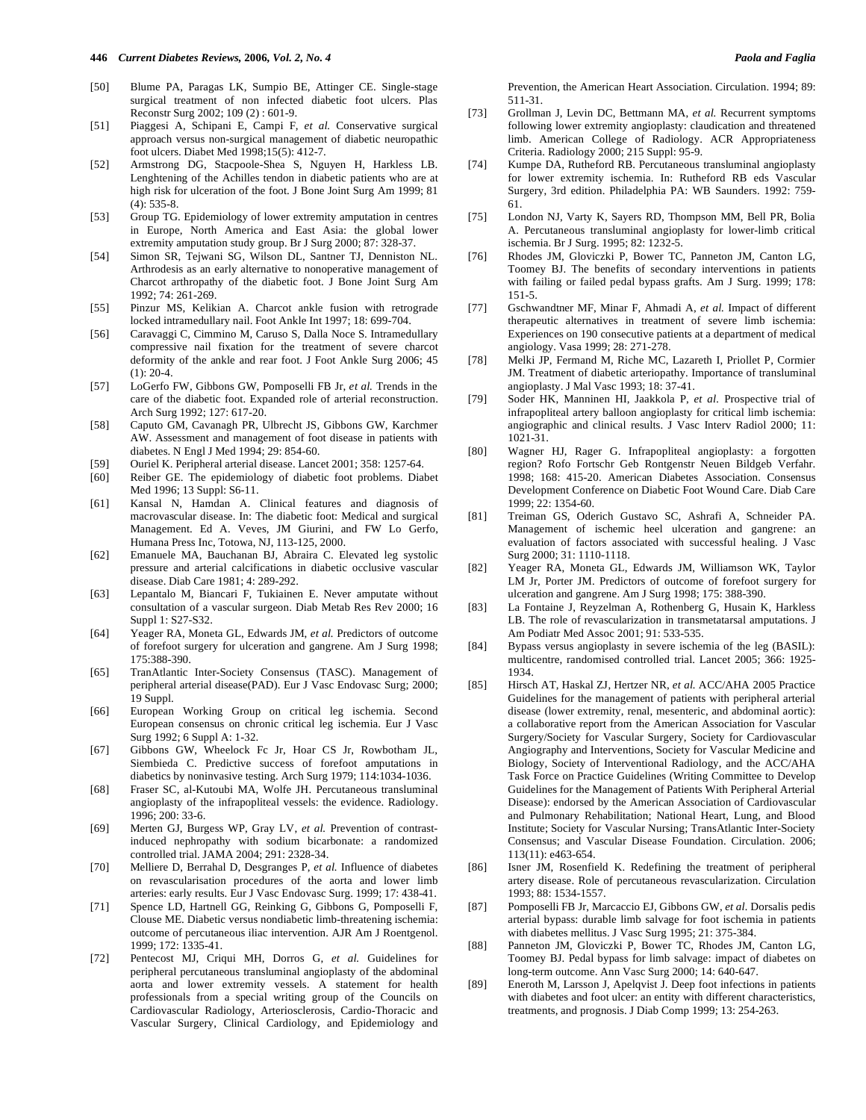- [50] Blume PA, Paragas LK, Sumpio BE, Attinger CE. Single-stage surgical treatment of non infected diabetic foot ulcers. Plas Reconstr Surg 2002; 109 (2) : 601-9.
- [51] Piaggesi A, Schipani E, Campi F, *et al.* Conservative surgical approach versus non-surgical management of diabetic neuropathic foot ulcers. Diabet Med 1998;15(5): 412-7.
- [52] Armstrong DG, Stacpoole-Shea S, Nguyen H, Harkless LB. Lenghtening of the Achilles tendon in diabetic patients who are at high risk for ulceration of the foot. J Bone Joint Surg Am 1999; 81 (4): 535-8.
- [53] Group TG. Epidemiology of lower extremity amputation in centres in Europe, North America and East Asia: the global lower extremity amputation study group. Br J Surg 2000; 87: 328-37.
- [54] Simon SR, Tejwani SG, Wilson DL, Santner TJ, Denniston NL. Arthrodesis as an early alternative to nonoperative management of Charcot arthropathy of the diabetic foot. J Bone Joint Surg Am 1992; 74: 261-269.
- [55] Pinzur MS, Kelikian A. Charcot ankle fusion with retrograde locked intramedullary nail. Foot Ankle Int 1997; 18: 699-704.
- [56] Caravaggi C, Cimmino M, Caruso S, Dalla Noce S. Intramedullary compressive nail fixation for the treatment of severe charcot deformity of the ankle and rear foot. J Foot Ankle Surg 2006; 45 (1): 20-4.
- [57] LoGerfo FW, Gibbons GW, Pomposelli FB Jr, *et al.* Trends in the care of the diabetic foot. Expanded role of arterial reconstruction. Arch Surg 1992; 127: 617-20.
- [58] Caputo GM, Cavanagh PR, Ulbrecht JS, Gibbons GW, Karchmer AW. Assessment and management of foot disease in patients with diabetes. N Engl J Med 1994; 29: 854-60.
- [59] Ouriel K. Peripheral arterial disease. Lancet 2001; 358: 1257-64.
- [60] Reiber GE. The epidemiology of diabetic foot problems. Diabet Med 1996; 13 Suppl: S6-11.
- [61] Kansal N, Hamdan A. Clinical features and diagnosis of macrovascular disease. In: The diabetic foot: Medical and surgical Management. Ed A. Veves, JM Giurini, and FW Lo Gerfo, Humana Press Inc, Totowa, NJ, 113-125, 2000.
- [62] Emanuele MA, Bauchanan BJ, Abraira C. Elevated leg systolic pressure and arterial calcifications in diabetic occlusive vascular disease. Diab Care 1981; 4: 289-292.
- [63] Lepantalo M, Biancari F, Tukiainen E. Never amputate without consultation of a vascular surgeon. Diab Metab Res Rev 2000; 16 Suppl 1: S27-S32.
- [64] Yeager RA, Moneta GL, Edwards JM, *et al.* Predictors of outcome of forefoot surgery for ulceration and gangrene. Am J Surg 1998; 175:388-390.
- [65] TranAtlantic Inter-Society Consensus (TASC). Management of peripheral arterial disease(PAD). Eur J Vasc Endovasc Surg; 2000; 19 Suppl.
- [66] European Working Group on critical leg ischemia. Second European consensus on chronic critical leg ischemia. Eur J Vasc Surg 1992; 6 Suppl A: 1-32.
- [67] Gibbons GW, Wheelock Fc Jr, Hoar CS Jr, Rowbotham JL, Siembieda C. Predictive success of forefoot amputations in diabetics by noninvasive testing. Arch Surg 1979; 114:1034-1036.
- [68] Fraser SC, al-Kutoubi MA, Wolfe JH. Percutaneous transluminal angioplasty of the infrapopliteal vessels: the evidence. Radiology. 1996; 200: 33-6.
- [69] Merten GJ, Burgess WP, Gray LV, *et al.* Prevention of contrastinduced nephropathy with sodium bicarbonate: a randomized controlled trial. JAMA 2004; 291: 2328-34.
- [70] Melliere D, Berrahal D, Desgranges P, *et al.* Influence of diabetes on revascularisation procedures of the aorta and lower limb arteries: early results. Eur J Vasc Endovasc Surg. 1999; 17: 438-41.
- [71] Spence LD, Hartnell GG, Reinking G, Gibbons G, Pomposelli F, Clouse ME. Diabetic versus nondiabetic limb-threatening ischemia: outcome of percutaneous iliac intervention. AJR Am J Roentgenol. 1999; 172: 1335-41.
- [72] Pentecost MJ, Criqui MH, Dorros G, *et al.* Guidelines for peripheral percutaneous transluminal angioplasty of the abdominal aorta and lower extremity vessels. A statement for health professionals from a special writing group of the Councils on Cardiovascular Radiology, Arteriosclerosis, Cardio-Thoracic and Vascular Surgery, Clinical Cardiology, and Epidemiology and

Prevention, the American Heart Association. Circulation. 1994; 89: 511-31.

- [73] Grollman J, Levin DC, Bettmann MA, *et al.* Recurrent symptoms following lower extremity angioplasty: claudication and threatened limb. American College of Radiology. ACR Appropriateness Criteria. Radiology 2000; 215 Suppl: 95-9.
- [74] Kumpe DA, Rutheford RB. Percutaneous transluminal angioplasty for lower extremity ischemia. In: Rutheford RB eds Vascular Surgery, 3rd edition. Philadelphia PA: WB Saunders. 1992: 759- 61.
- [75] London NJ, Varty K, Sayers RD, Thompson MM, Bell PR, Bolia A. Percutaneous transluminal angioplasty for lower-limb critical ischemia. Br J Surg. 1995; 82: 1232-5.
- [76] Rhodes JM, Gloviczki P, Bower TC, Panneton JM, Canton LG, Toomey BJ. The benefits of secondary interventions in patients with failing or failed pedal bypass grafts. Am J Surg. 1999; 178: 151-5.
- [77] Gschwandtner MF, Minar F, Ahmadi A, *et al.* Impact of different therapeutic alternatives in treatment of severe limb ischemia: Experiences on 190 consecutive patients at a department of medical angiology. Vasa 1999; 28: 271-278.
- [78] Melki JP, Fermand M, Riche MC, Lazareth I, Priollet P, Cormier JM. Treatment of diabetic arteriopathy. Importance of transluminal angioplasty. J Mal Vasc 1993; 18: 37-41.
- [79] Soder HK, Manninen HI, Jaakkola P, *et al.* Prospective trial of infrapopliteal artery balloon angioplasty for critical limb ischemia: angiographic and clinical results. J Vasc Interv Radiol 2000; 11: 1021-31.
- [80] Wagner HJ, Rager G. Infrapopliteal angioplasty: a forgotten region? Rofo Fortschr Geb Rontgenstr Neuen Bildgeb Verfahr. 1998; 168: 415-20. American Diabetes Association. Consensus Development Conference on Diabetic Foot Wound Care. Diab Care 1999; 22: 1354-60.
- [81] Treiman GS, Oderich Gustavo SC, Ashrafi A, Schneider PA. Management of ischemic heel ulceration and gangrene: an evaluation of factors associated with successful healing. J Vasc Surg 2000; 31: 1110-1118.
- [82] Yeager RA, Moneta GL, Edwards JM, Williamson WK, Taylor LM Jr, Porter JM. Predictors of outcome of forefoot surgery for ulceration and gangrene. Am J Surg 1998; 175: 388-390.
- [83] La Fontaine J, Reyzelman A, Rothenberg G, Husain K, Harkless LB. The role of revascularization in transmetatarsal amputations. J Am Podiatr Med Assoc 2001; 91: 533-535.
- [84] Bypass versus angioplasty in severe ischemia of the leg (BASIL): multicentre, randomised controlled trial. Lancet 2005; 366: 1925- 1934.
- [85] Hirsch AT, Haskal ZJ, Hertzer NR, *et al.* ACC/AHA 2005 Practice Guidelines for the management of patients with peripheral arterial disease (lower extremity, renal, mesenteric, and abdominal aortic): a collaborative report from the American Association for Vascular Surgery/Society for Vascular Surgery, Society for Cardiovascular Angiography and Interventions, Society for Vascular Medicine and Biology, Society of Interventional Radiology, and the ACC/AHA Task Force on Practice Guidelines (Writing Committee to Develop Guidelines for the Management of Patients With Peripheral Arterial Disease): endorsed by the American Association of Cardiovascular and Pulmonary Rehabilitation; National Heart, Lung, and Blood Institute; Society for Vascular Nursing; TransAtlantic Inter-Society Consensus; and Vascular Disease Foundation. Circulation. 2006; 113(11): e463-654.
- [86] Isner JM, Rosenfield K. Redefining the treatment of peripheral artery disease. Role of percutaneous revascularization. Circulation 1993; 88: 1534-1557.
- [87] Pomposelli FB Jr, Marcaccio EJ, Gibbons GW, *et al.* Dorsalis pedis arterial bypass: durable limb salvage for foot ischemia in patients with diabetes mellitus. J Vasc Surg 1995; 21: 375-384.
- [88] Panneton JM, Gloviczki P, Bower TC, Rhodes JM, Canton LG, Toomey BJ. Pedal bypass for limb salvage: impact of diabetes on long-term outcome. Ann Vasc Surg 2000; 14: 640-647.
- [89] Eneroth M, Larsson J, Apelqvist J. Deep foot infections in patients with diabetes and foot ulcer: an entity with different characteristics, treatments, and prognosis. J Diab Comp 1999; 13: 254-263.